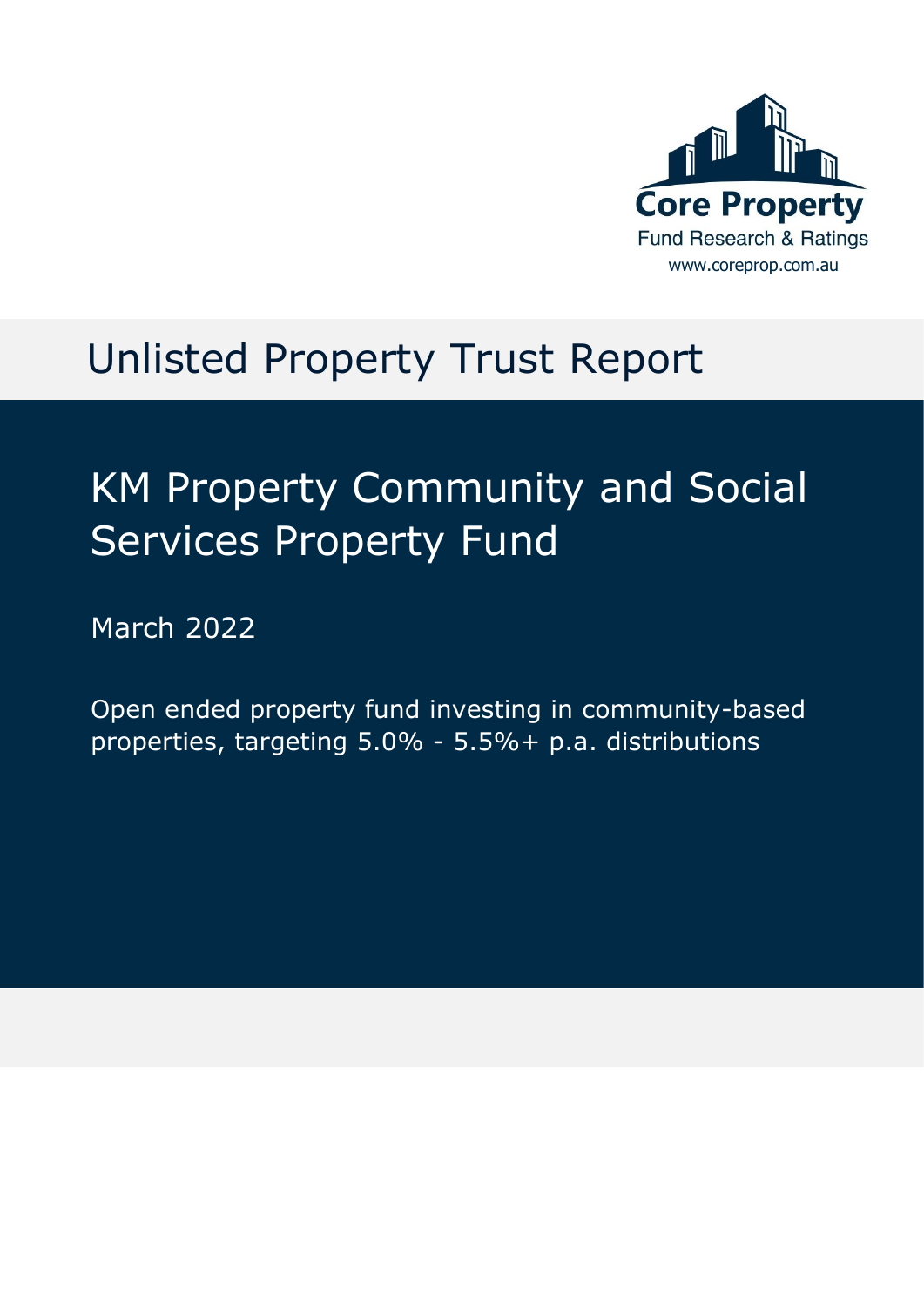

# Unlisted Property Trust Report

# KM Property Community and Social Services Property Fund

March 2022

Open ended property fund investing in community-based properties, targeting 5.0% - 5.5%+ p.a. distributions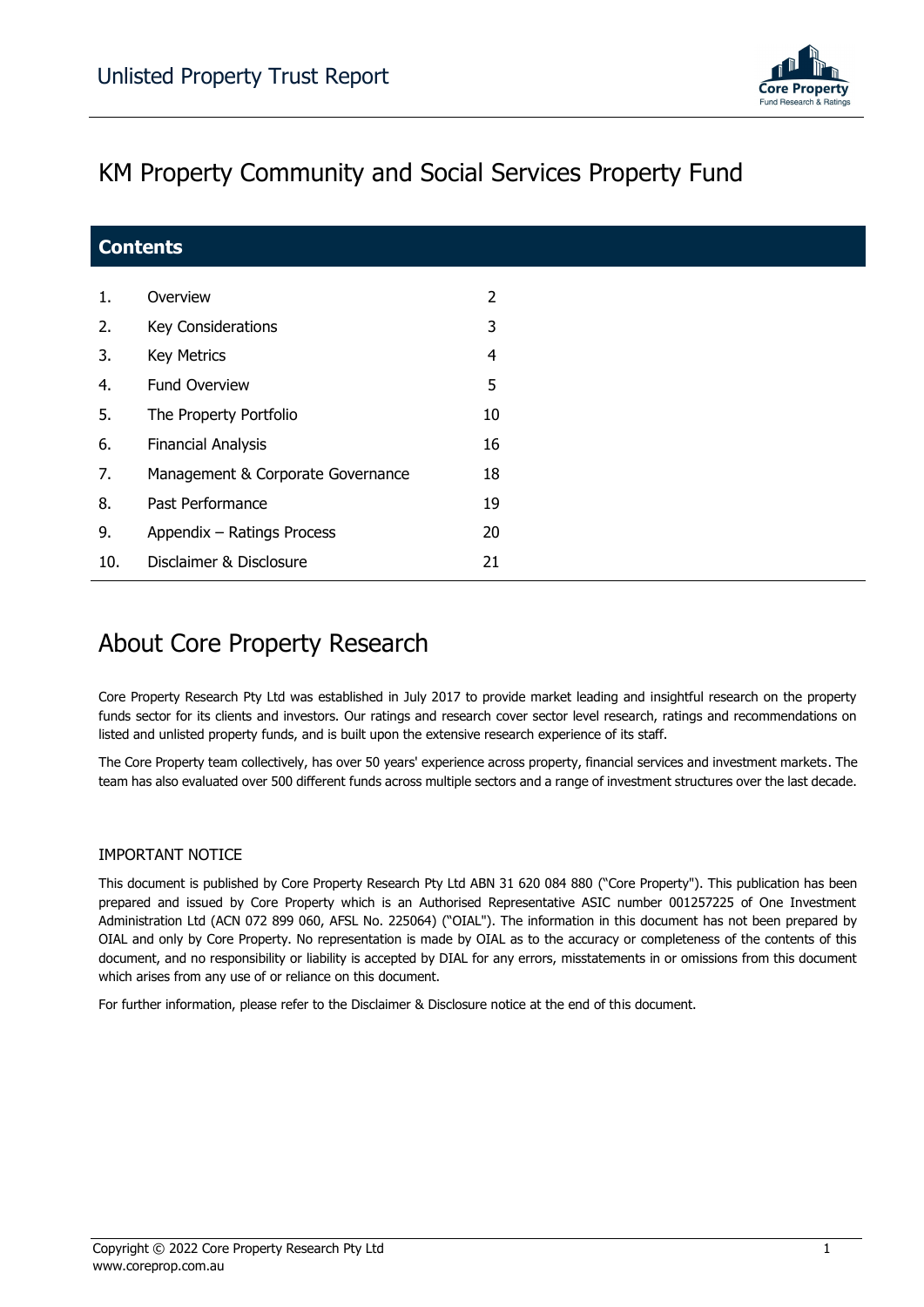

### KM Property Community and Social Services Property Fund

| <b>Contents</b> |                                   |                |  |
|-----------------|-----------------------------------|----------------|--|
| 1.              | Overview                          | $\overline{2}$ |  |
| 2.              | Key Considerations                | 3              |  |
| 3.              | <b>Key Metrics</b>                | 4              |  |
| 4.              | <b>Fund Overview</b>              | 5              |  |
| 5.              | The Property Portfolio            | 10             |  |
| 6.              | <b>Financial Analysis</b>         | 16             |  |
| 7.              | Management & Corporate Governance | 18             |  |
| 8.              | Past Performance                  | 19             |  |
| 9.              | Appendix - Ratings Process        | 20             |  |
| 10.             | Disclaimer & Disclosure           | 21             |  |

### About Core Property Research

Core Property Research Pty Ltd was established in July 2017 to provide market leading and insightful research on the property funds sector for its clients and investors. Our ratings and research cover sector level research, ratings and recommendations on listed and unlisted property funds, and is built upon the extensive research experience of its staff.

The Core Property team collectively, has over 50 years' experience across property, financial services and investment markets. The team has also evaluated over 500 different funds across multiple sectors and a range of investment structures over the last decade.

### IMPORTANT NOTICE

This document is published by Core Property Research Pty Ltd ABN 31 620 084 880 ("Core Property"). This publication has been prepared and issued by Core Property which is an Authorised Representative ASIC number 001257225 of One Investment Administration Ltd (ACN 072 899 060, AFSL No. 225064) ("OIAL"). The information in this document has not been prepared by OIAL and only by Core Property. No representation is made by OIAL as to the accuracy or completeness of the contents of this document, and no responsibility or liability is accepted by DIAL for any errors, misstatements in or omissions from this document which arises from any use of or reliance on this document.

For further information, please refer to the Disclaimer & Disclosure notice at the end of this document.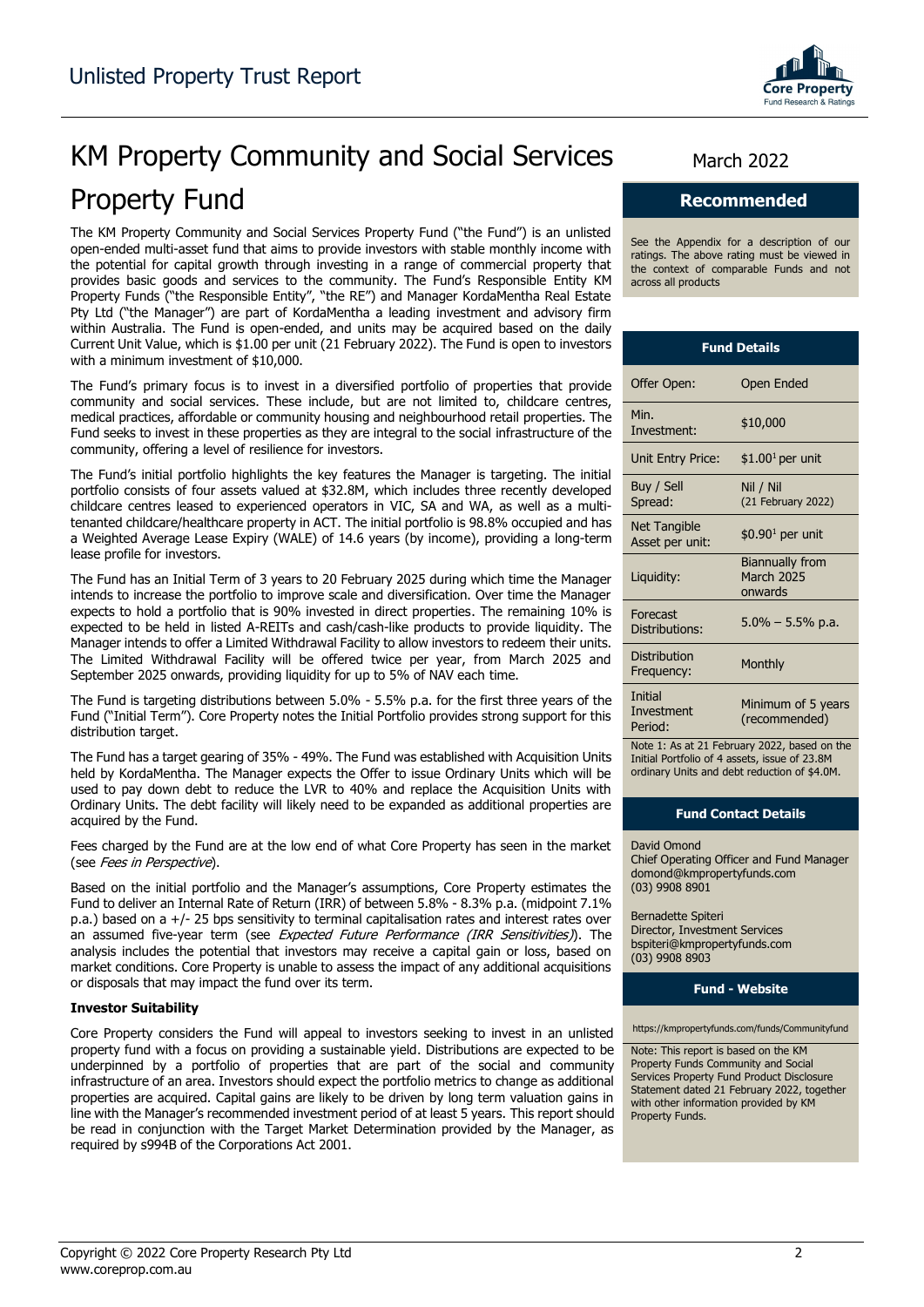

# KM Property Community and Social Services March 2022 Property Fund

The KM Property Community and Social Services Property Fund ("the Fund") is an unlisted open-ended multi-asset fund that aims to provide investors with stable monthly income with the potential for capital growth through investing in a range of commercial property that provides basic goods and services to the community. The Fund's Responsible Entity KM Property Funds ("the Responsible Entity", "the RE") and Manager KordaMentha Real Estate Pty Ltd ("the Manager") are part of KordaMentha a leading investment and advisory firm within Australia. The Fund is open-ended, and units may be acquired based on the daily Current Unit Value, which is \$1.00 per unit (21 February 2022). The Fund is open to investors with a minimum investment of \$10,000.

The Fund's primary focus is to invest in a diversified portfolio of properties that provide community and social services. These include, but are not limited to, childcare centres, medical practices, affordable or community housing and neighbourhood retail properties. The Fund seeks to invest in these properties as they are integral to the social infrastructure of the community, offering a level of resilience for investors.

The Fund's initial portfolio highlights the key features the Manager is targeting. The initial portfolio consists of four assets valued at \$32.8M, which includes three recently developed childcare centres leased to experienced operators in VIC, SA and WA, as well as a multitenanted childcare/healthcare property in ACT. The initial portfolio is 98.8% occupied and has a Weighted Average Lease Expiry (WALE) of 14.6 years (by income), providing a long-term lease profile for investors.

The Fund has an Initial Term of 3 years to 20 February 2025 during which time the Manager intends to increase the portfolio to improve scale and diversification. Over time the Manager expects to hold a portfolio that is 90% invested in direct properties. The remaining 10% is expected to be held in listed A-REITs and cash/cash-like products to provide liquidity. The Manager intends to offer a Limited Withdrawal Facility to allow investors to redeem their units. The Limited Withdrawal Facility will be offered twice per year, from March 2025 and September 2025 onwards, providing liquidity for up to 5% of NAV each time.

The Fund is targeting distributions between 5.0% - 5.5% p.a. for the first three years of the Fund ("Initial Term"). Core Property notes the Initial Portfolio provides strong support for this distribution target.

The Fund has a target gearing of 35% - 49%. The Fund was established with Acquisition Units held by KordaMentha. The Manager expects the Offer to issue Ordinary Units which will be used to pay down debt to reduce the LVR to 40% and replace the Acquisition Units with Ordinary Units. The debt facility will likely need to be expanded as additional properties are acquired by the Fund.

Fees charged by the Fund are at the low end of what Core Property has seen in the market (see Fees in Perspective).

Based on the initial portfolio and the Manager's assumptions, Core Property estimates the Fund to deliver an Internal Rate of Return (IRR) of between 5.8% - 8.3% p.a. (midpoint 7.1% p.a.) based on a +/- 25 bps sensitivity to terminal capitalisation rates and interest rates over an assumed five-year term (see Expected Future Performance (IRR Sensitivities)). The analysis includes the potential that investors may receive a capital gain or loss, based on market conditions. Core Property is unable to assess the impact of any additional acquisitions or disposals that may impact the fund over its term.

#### **Investor Suitability**

Core Property considers the Fund will appeal to investors seeking to invest in an unlisted property fund with a focus on providing a sustainable yield. Distributions are expected to be underpinned by a portfolio of properties that are part of the social and community infrastructure of an area. Investors should expect the portfolio metrics to change as additional properties are acquired. Capital gains are likely to be driven by long term valuation gains in line with the Manager's recommended investment period of at least 5 years. This report should be read in conjunction with the Target Market Determination provided by the Manager, as required by s994B of the Corporations Act 2001.

### **Recommended**

See the Appendix for a description of our ratings. The above rating must be viewed in the context of comparable Funds and not across all products

| <b>Fund Details</b>                    |                                                        |  |  |
|----------------------------------------|--------------------------------------------------------|--|--|
| Offer Open:                            | Open Ended                                             |  |  |
| Min.<br>Investment:                    | \$10,000                                               |  |  |
| Unit Entry Price:                      | $$1.001$ per unit                                      |  |  |
| Buy / Sell<br>Spread:                  | Nil / Nil<br>(21 February 2022)                        |  |  |
| <b>Net Tangible</b><br>Asset per unit: | $$0.901$ per unit                                      |  |  |
| Liquidity:                             | <b>Biannually from</b><br><b>March 2025</b><br>onwards |  |  |
| Forecast<br>Distributions:             | $5.0\% - 5.5\%$ p.a.                                   |  |  |
| Distribution<br>Frequency:             | Monthly                                                |  |  |
| Initial<br>Investment<br>Period:       | Minimum of 5 years<br>(recommended)                    |  |  |

Note 1: As at 21 February 2022, based on the Initial Portfolio of 4 assets, issue of 23.8M ordinary Units and debt reduction of \$4.0M.

#### **Fund Contact Details**

David Omond Chief Operating Officer and Fund Manager domond@kmpropertyfunds.com (03) 9908 8901

Bernadette Spiteri Director, Investment Services bspiteri@kmpropertyfunds.com (03) 9908 8903

#### **Fund - Website**

https://kmpropertyfunds.com/funds/Communityfund

Note: This report is based on the KM Property Funds Community and Social Services Property Fund Product Disclosure Statement dated 21 February 2022, together with other information provided by KM Property Funds.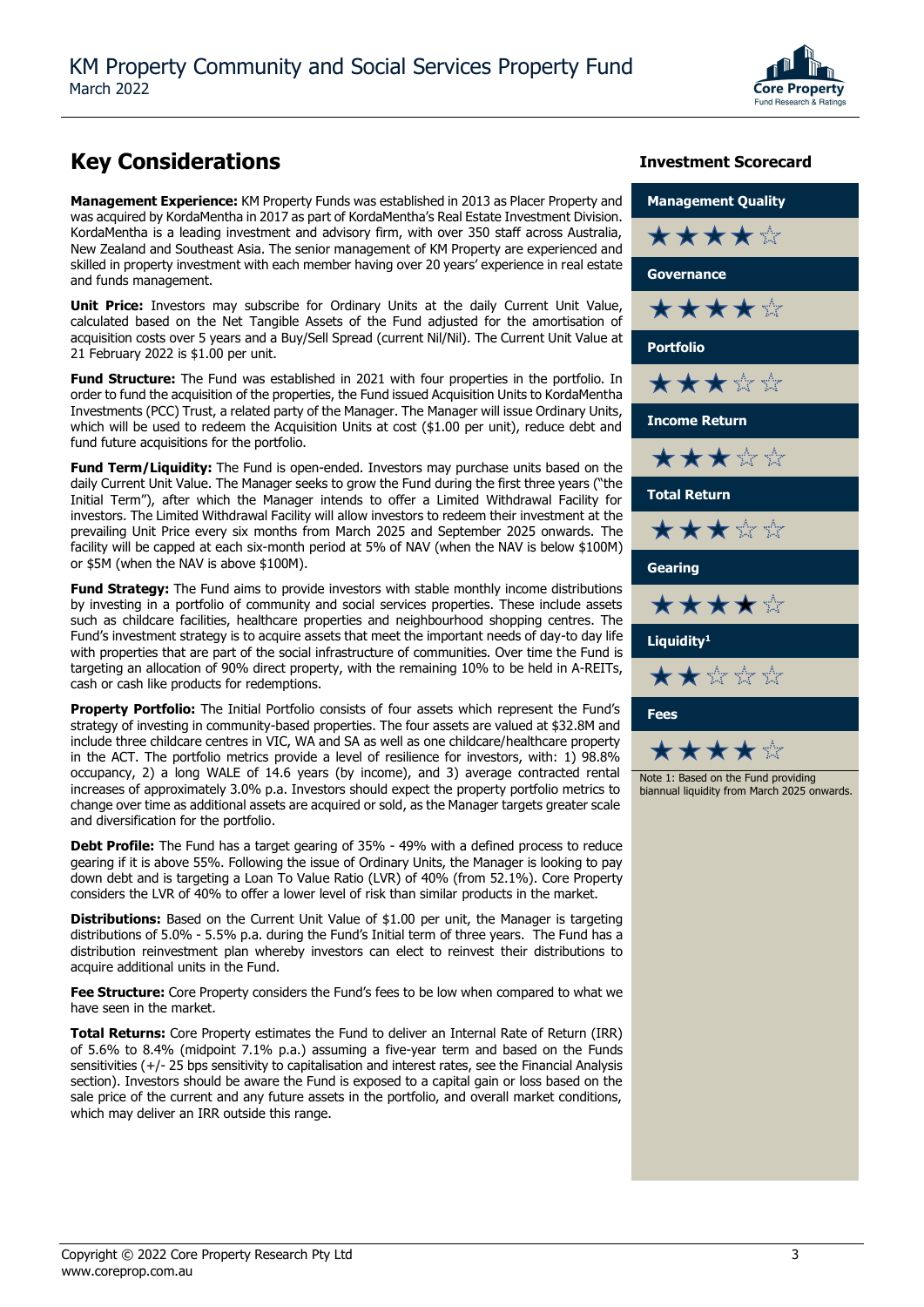

### **Key Considerations Investment Scorecard**

**Management Experience:** KM Property Funds was established in 2013 as Placer Property and was acquired by KordaMentha in 2017 as part of KordaMentha's Real Estate Investment Division. KordaMentha is a leading investment and advisory firm, with over 350 staff across Australia, New Zealand and Southeast Asia. The senior management of KM Property are experienced and skilled in property investment with each member having over 20 years' experience in real estate and funds management.

**Unit Price:** Investors may subscribe for Ordinary Units at the daily Current Unit Value, calculated based on the Net Tangible Assets of the Fund adjusted for the amortisation of acquisition costs over 5 years and a Buy/Sell Spread (current Nil/Nil). The Current Unit Value at 21 February 2022 is \$1.00 per unit.

**Fund Structure:** The Fund was established in 2021 with four properties in the portfolio. In order to fund the acquisition of the properties, the Fund issued Acquisition Units to KordaMentha Investments (PCC) Trust, a related party of the Manager. The Manager will issue Ordinary Units, which will be used to redeem the Acquisition Units at cost (\$1.00 per unit), reduce debt and fund future acquisitions for the portfolio.

**Fund Term/Liquidity:** The Fund is open-ended. Investors may purchase units based on the daily Current Unit Value. The Manager seeks to grow the Fund during the first three years ("the Initial Term"), after which the Manager intends to offer a Limited Withdrawal Facility for investors. The Limited Withdrawal Facility will allow investors to redeem their investment at the prevailing Unit Price every six months from March 2025 and September 2025 onwards. The facility will be capped at each six-month period at 5% of NAV (when the NAV is below \$100M) or \$5M (when the NAV is above \$100M).

**Fund Strategy:** The Fund aims to provide investors with stable monthly income distributions by investing in a portfolio of community and social services properties. These include assets such as childcare facilities, healthcare properties and neighbourhood shopping centres. The Fund's investment strategy is to acquire assets that meet the important needs of day-to day life with properties that are part of the social infrastructure of communities. Over time the Fund is targeting an allocation of 90% direct property, with the remaining 10% to be held in A-REITs, cash or cash like products for redemptions.

**Property Portfolio:** The Initial Portfolio consists of four assets which represent the Fund's strategy of investing in community-based properties. The four assets are valued at \$32.8M and include three childcare centres in VIC, WA and SA as well as one childcare/healthcare property in the ACT. The portfolio metrics provide a level of resilience for investors, with: 1) 98.8% occupancy, 2) a long WALE of 14.6 years (by income), and 3) average contracted rental increases of approximately 3.0% p.a. Investors should expect the property portfolio metrics to change over time as additional assets are acquired or sold, as the Manager targets greater scale and diversification for the portfolio.

**Debt Profile:** The Fund has a target gearing of 35% - 49% with a defined process to reduce gearing if it is above 55%. Following the issue of Ordinary Units, the Manager is looking to pay down debt and is targeting a Loan To Value Ratio (LVR) of 40% (from 52.1%). Core Property considers the LVR of 40% to offer a lower level of risk than similar products in the market.

**Distributions:** Based on the Current Unit Value of \$1.00 per unit, the Manager is targeting distributions of 5.0% - 5.5% p.a. during the Fund's Initial term of three years. The Fund has a distribution reinvestment plan whereby investors can elect to reinvest their distributions to acquire additional units in the Fund.

Fee Structure: Core Property considers the Fund's fees to be low when compared to what we have seen in the market.

**Total Returns:** Core Property estimates the Fund to deliver an Internal Rate of Return (IRR) of 5.6% to 8.4% (midpoint 7.1% p.a.) assuming a five-year term and based on the Funds sensitivities (+/- 25 bps sensitivity to capitalisation and interest rates, see the Financial Analysis section). Investors should be aware the Fund is exposed to a capital gain or loss based on the sale price of the current and any future assets in the portfolio, and overall market conditions, which may deliver an IRR outside this range.

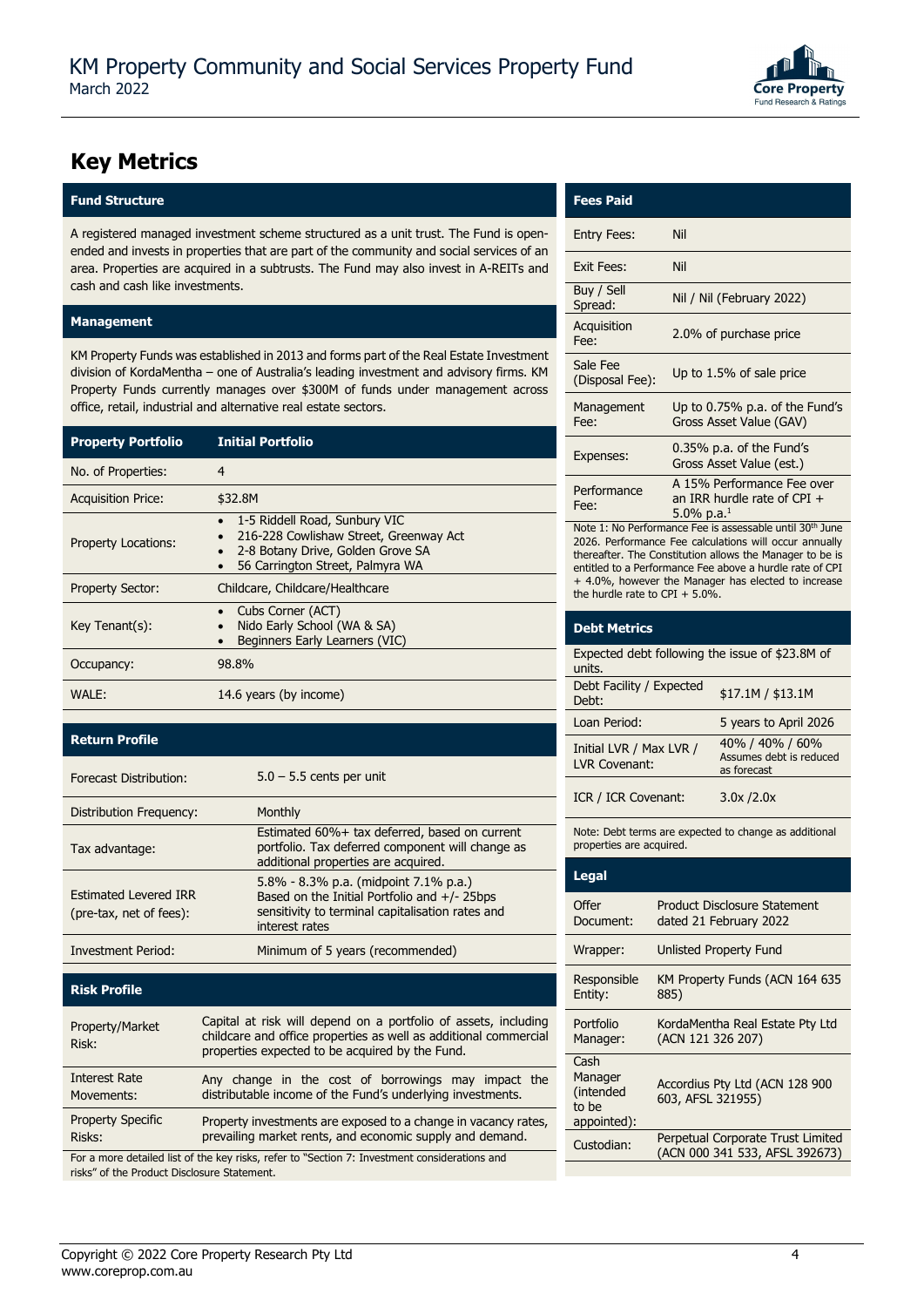

### **Key Metrics**

### **Fund Structure Fees Paid**

A registered managed investment scheme structured as a unit trust. The Fund is openended and invests in properties that are part of the community and social services of an area. Properties are acquired in a subtrusts. The Fund may also invest in A-REITs and cash and cash like investments.

#### **Management**

KM Property Funds was established in 2013 and forms part of the Real Estate Investment division of KordaMentha – one of Australia's leading investment and advisory firms. KM Property Funds currently manages over \$300M of funds under management across office, retail, industrial and alternative real estate sectors.

| <b>Property Portfolio</b>  | <b>Initial Portfolio</b>                                                                                                                         |
|----------------------------|--------------------------------------------------------------------------------------------------------------------------------------------------|
| No. of Properties:         | $\overline{4}$                                                                                                                                   |
| <b>Acquisition Price:</b>  | \$32.8M                                                                                                                                          |
| <b>Property Locations:</b> | 1-5 Riddell Road, Sunbury VIC<br>216-228 Cowlishaw Street, Greenway Act<br>2-8 Botany Drive, Golden Grove SA<br>56 Carrington Street, Palmyra WA |
| <b>Property Sector:</b>    | Childcare, Childcare/Healthcare                                                                                                                  |
| $Key Tenant(s)$ :          | Cubs Corner (ACT)<br>Nido Early School (WA & SA)<br>Beginners Early Learners (VIC)                                                               |
| Occupancy:                 | 98.8%                                                                                                                                            |
| WALE:                      | 14.6 years (by income)                                                                                                                           |

### **Return Profile**

| Forecast Distribution:                                  | $5.0 - 5.5$ cents per unit                                                                                                                                     |
|---------------------------------------------------------|----------------------------------------------------------------------------------------------------------------------------------------------------------------|
| Distribution Frequency:                                 | Monthly                                                                                                                                                        |
| Tax advantage:                                          | Estimated 60%+ tax deferred, based on current<br>portfolio. Tax deferred component will change as<br>additional properties are acquired.                       |
| <b>Estimated Levered IRR</b><br>(pre-tax, net of fees): | 5.8% - 8.3% p.a. (midpoint 7.1% p.a.)<br>Based on the Initial Portfolio and $+/- 25$ bps<br>sensitivity to terminal capitalisation rates and<br>interest rates |
| <b>Investment Period:</b>                               | Minimum of 5 years (recommended)                                                                                                                               |

### **Risk Profile**

| Property/Market<br>Risk:                                                                                                                                         | Capital at risk will depend on a portfolio of assets, including<br>childcare and office properties as well as additional commercial<br>properties expected to be acquired by the Fund. |  |
|------------------------------------------------------------------------------------------------------------------------------------------------------------------|----------------------------------------------------------------------------------------------------------------------------------------------------------------------------------------|--|
| <b>Interest Rate</b><br>Movements:                                                                                                                               | Any change in the cost of borrowings may impact the<br>distributable income of the Fund's underlying investments.                                                                      |  |
| <b>Property Specific</b><br>Property investments are exposed to a change in vacancy rates,<br>prevailing market rents, and economic supply and demand.<br>Risks: |                                                                                                                                                                                        |  |
| Ear a mars detailed list of the key ricks, refer to "Cestion 7: Investment considerations and                                                                    |                                                                                                                                                                                        |  |

For a more detailed list of the key risks, refer to "Section 7: Investment considerations and risks" of the Product Disclosure Statement.

| Fees Pai |  |
|----------|--|

| <b>Entry Fees:</b>          | Nil                                                                                      |
|-----------------------------|------------------------------------------------------------------------------------------|
| Exit Fees:                  | <b>Nil</b>                                                                               |
| Buy / Sell<br>Spread:       | Nil / Nil (February 2022)                                                                |
| Acquisition<br>Fee:         | 2.0% of purchase price                                                                   |
| Sale Fee<br>(Disposal Fee): | Up to 1.5% of sale price                                                                 |
| Management<br>Fee:          | Up to $0.75\%$ p.a. of the Fund's<br>Gross Asset Value (GAV)                             |
| Expenses:                   | $0.35\%$ p.a. of the Fund's<br>Gross Asset Value (est.)                                  |
| Performance<br>Fee:         | A 15% Performance Fee over<br>an IRR hurdle rate of CPI $+$<br>$5.0\%$ p.a. <sup>1</sup> |

Note 1: No Performance Fee is assessable until 30th June 2026. Performance Fee calculations will occur annually thereafter. The Constitution allows the Manager to be is entitled to a Performance Fee above a hurdle rate of CPI + 4.0%, however the Manager has elected to increase the hurdle rate to CPI +  $5.0\%$ .

| <b>Debt Metrics</b>                                       |                                                           |  |
|-----------------------------------------------------------|-----------------------------------------------------------|--|
| Expected debt following the issue of \$23.8M of<br>units. |                                                           |  |
| Debt Facility / Expected<br>Debt:                         | \$17.1M / \$13.1M                                         |  |
| Loan Period:                                              | 5 years to April 2026                                     |  |
| Initial LVR / Max LVR /<br>I VR Covenant:                 | 40% / 40% / 60%<br>Assumes debt is reduced<br>as forecast |  |
| ICR / ICR Covenant:                                       | 3.0x / 2.0x                                               |  |

Note: Debt terms are expected to change as additional properties are acquired.

| Legal                                                |                                                                     |
|------------------------------------------------------|---------------------------------------------------------------------|
| Offer<br>Document:                                   | Product Disclosure Statement<br>dated 21 February 2022              |
| Wrapper:                                             | Unlisted Property Fund                                              |
| Responsible<br>Entity:                               | KM Property Funds (ACN 164 635<br>885)                              |
| Portfolio<br>Manager:                                | KordaMentha Real Estate Pty Ltd<br>(ACN 121 326 207)                |
| Cash<br>Manager<br>(intended<br>to be<br>appointed): | Accordius Pty Ltd (ACN 128 900<br>603, AFSL 321955)                 |
| Custodian:                                           | Perpetual Corporate Trust Limited<br>(ACN 000 341 533, AFSL 392673) |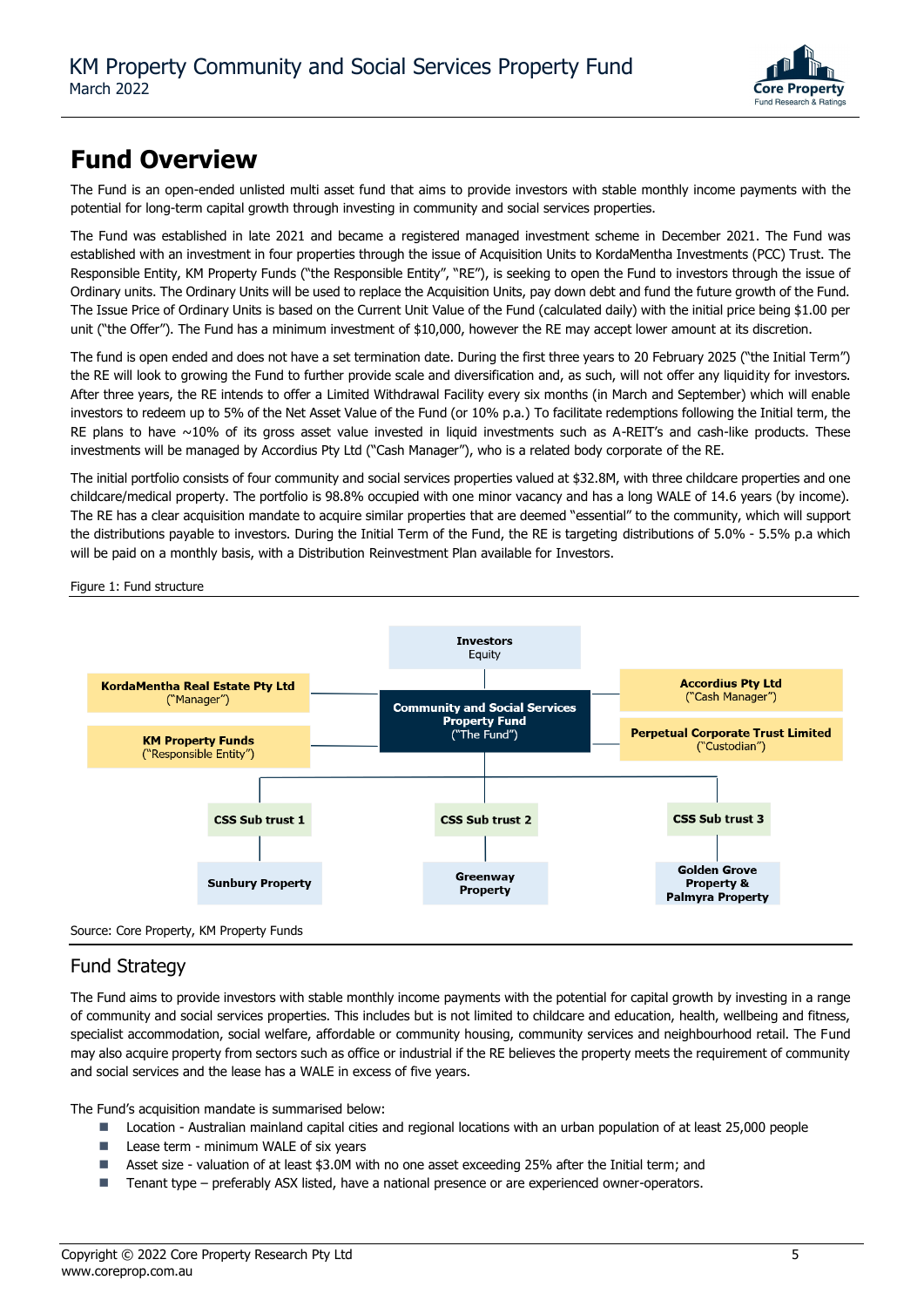

### **Fund Overview**

The Fund is an open-ended unlisted multi asset fund that aims to provide investors with stable monthly income payments with the potential for long-term capital growth through investing in community and social services properties.

The Fund was established in late 2021 and became a registered managed investment scheme in December 2021. The Fund was established with an investment in four properties through the issue of Acquisition Units to KordaMentha Investments (PCC) Trust. The Responsible Entity, KM Property Funds ("the Responsible Entity", "RE"), is seeking to open the Fund to investors through the issue of Ordinary units. The Ordinary Units will be used to replace the Acquisition Units, pay down debt and fund the future growth of the Fund. The Issue Price of Ordinary Units is based on the Current Unit Value of the Fund (calculated daily) with the initial price being \$1.00 per unit ("the Offer"). The Fund has a minimum investment of \$10,000, however the RE may accept lower amount at its discretion.

The fund is open ended and does not have a set termination date. During the first three years to 20 February 2025 ("the Initial Term") the RE will look to growing the Fund to further provide scale and diversification and, as such, will not offer any liquidity for investors. After three years, the RE intends to offer a Limited Withdrawal Facility every six months (in March and September) which will enable investors to redeem up to 5% of the Net Asset Value of the Fund (or 10% p.a.) To facilitate redemptions following the Initial term, the RE plans to have  $\sim$ 10% of its gross asset value invested in liquid investments such as A-REIT's and cash-like products. These investments will be managed by Accordius Pty Ltd ("Cash Manager"), who is a related body corporate of the RE.

The initial portfolio consists of four community and social services properties valued at \$32.8M, with three childcare properties and one childcare/medical property. The portfolio is 98.8% occupied with one minor vacancy and has a long WALE of 14.6 years (by income). The RE has a clear acquisition mandate to acquire similar properties that are deemed "essential" to the community, which will support the distributions payable to investors. During the Initial Term of the Fund, the RE is targeting distributions of 5.0% - 5.5% p.a which will be paid on a monthly basis, with a Distribution Reinvestment Plan available for Investors.

Figure 1: Fund structure



### Fund Strategy

The Fund aims to provide investors with stable monthly income payments with the potential for capital growth by investing in a range of community and social services properties. This includes but is not limited to childcare and education, health, wellbeing and fitness, specialist accommodation, social welfare, affordable or community housing, community services and neighbourhood retail. The Fund may also acquire property from sectors such as office or industrial if the RE believes the property meets the requirement of community and social services and the lease has a WALE in excess of five years.

The Fund's acquisition mandate is summarised below:

- Location Australian mainland capital cities and regional locations with an urban population of at least 25,000 people
- Lease term minimum WALE of six years
- Asset size valuation of at least \$3.0M with no one asset exceeding 25% after the Initial term; and
- Tenant type preferably ASX listed, have a national presence or are experienced owner-operators.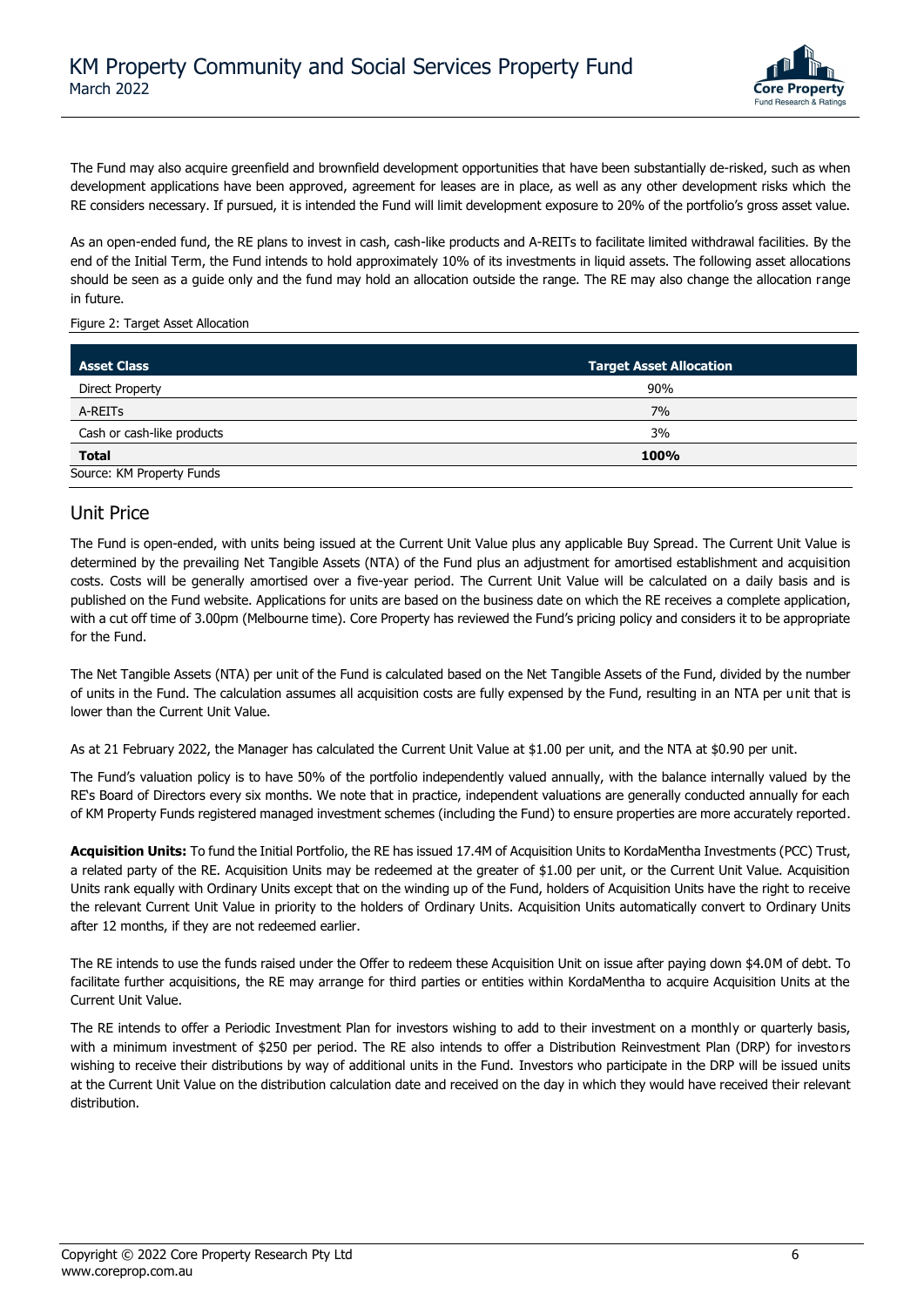

The Fund may also acquire greenfield and brownfield development opportunities that have been substantially de-risked, such as when development applications have been approved, agreement for leases are in place, as well as any other development risks which the RE considers necessary. If pursued, it is intended the Fund will limit development exposure to 20% of the portfolio's gross asset value.

As an open-ended fund, the RE plans to invest in cash, cash-like products and A-REITs to facilitate limited withdrawal facilities. By the end of the Initial Term, the Fund intends to hold approximately 10% of its investments in liquid assets. The following asset allocations should be seen as a guide only and the fund may hold an allocation outside the range. The RE may also change the allocation range in future.

Figure 2: Target Asset Allocation

| <b>Asset Class</b>         | <b>Target Asset Allocation</b> |  |
|----------------------------|--------------------------------|--|
| <b>Direct Property</b>     | 90%                            |  |
| A-REITs                    | 7%                             |  |
| Cash or cash-like products | 3%                             |  |
| <b>Total</b>               | 100%                           |  |
| Source: KM Property Funds  |                                |  |

### Unit Price

The Fund is open-ended, with units being issued at the Current Unit Value plus any applicable Buy Spread. The Current Unit Value is determined by the prevailing Net Tangible Assets (NTA) of the Fund plus an adjustment for amortised establishment and acquisition costs. Costs will be generally amortised over a five-year period. The Current Unit Value will be calculated on a daily basis and is published on the Fund website. Applications for units are based on the business date on which the RE receives a complete application, with a cut off time of 3.00pm (Melbourne time). Core Property has reviewed the Fund's pricing policy and considers it to be appropriate for the Fund.

The Net Tangible Assets (NTA) per unit of the Fund is calculated based on the Net Tangible Assets of the Fund, divided by the number of units in the Fund. The calculation assumes all acquisition costs are fully expensed by the Fund, resulting in an NTA per unit that is lower than the Current Unit Value.

As at 21 February 2022, the Manager has calculated the Current Unit Value at \$1.00 per unit, and the NTA at \$0.90 per unit.

The Fund's valuation policy is to have 50% of the portfolio independently valued annually, with the balance internally valued by the RE's Board of Directors every six months. We note that in practice, independent valuations are generally conducted annually for each of KM Property Funds registered managed investment schemes (including the Fund) to ensure properties are more accurately reported.

**Acquisition Units:** To fund the Initial Portfolio, the RE has issued 17.4M of Acquisition Units to KordaMentha Investments (PCC) Trust, a related party of the RE. Acquisition Units may be redeemed at the greater of \$1.00 per unit, or the Current Unit Value. Acquisition Units rank equally with Ordinary Units except that on the winding up of the Fund, holders of Acquisition Units have the right to receive the relevant Current Unit Value in priority to the holders of Ordinary Units. Acquisition Units automatically convert to Ordinary Units after 12 months, if they are not redeemed earlier.

The RE intends to use the funds raised under the Offer to redeem these Acquisition Unit on issue after paying down \$4.0M of debt. To facilitate further acquisitions, the RE may arrange for third parties or entities within KordaMentha to acquire Acquisition Units at the Current Unit Value.

The RE intends to offer a Periodic Investment Plan for investors wishing to add to their investment on a monthly or quarterly basis, with a minimum investment of \$250 per period. The RE also intends to offer a Distribution Reinvestment Plan (DRP) for investors wishing to receive their distributions by way of additional units in the Fund. Investors who participate in the DRP will be issued units at the Current Unit Value on the distribution calculation date and received on the day in which they would have received their relevant distribution.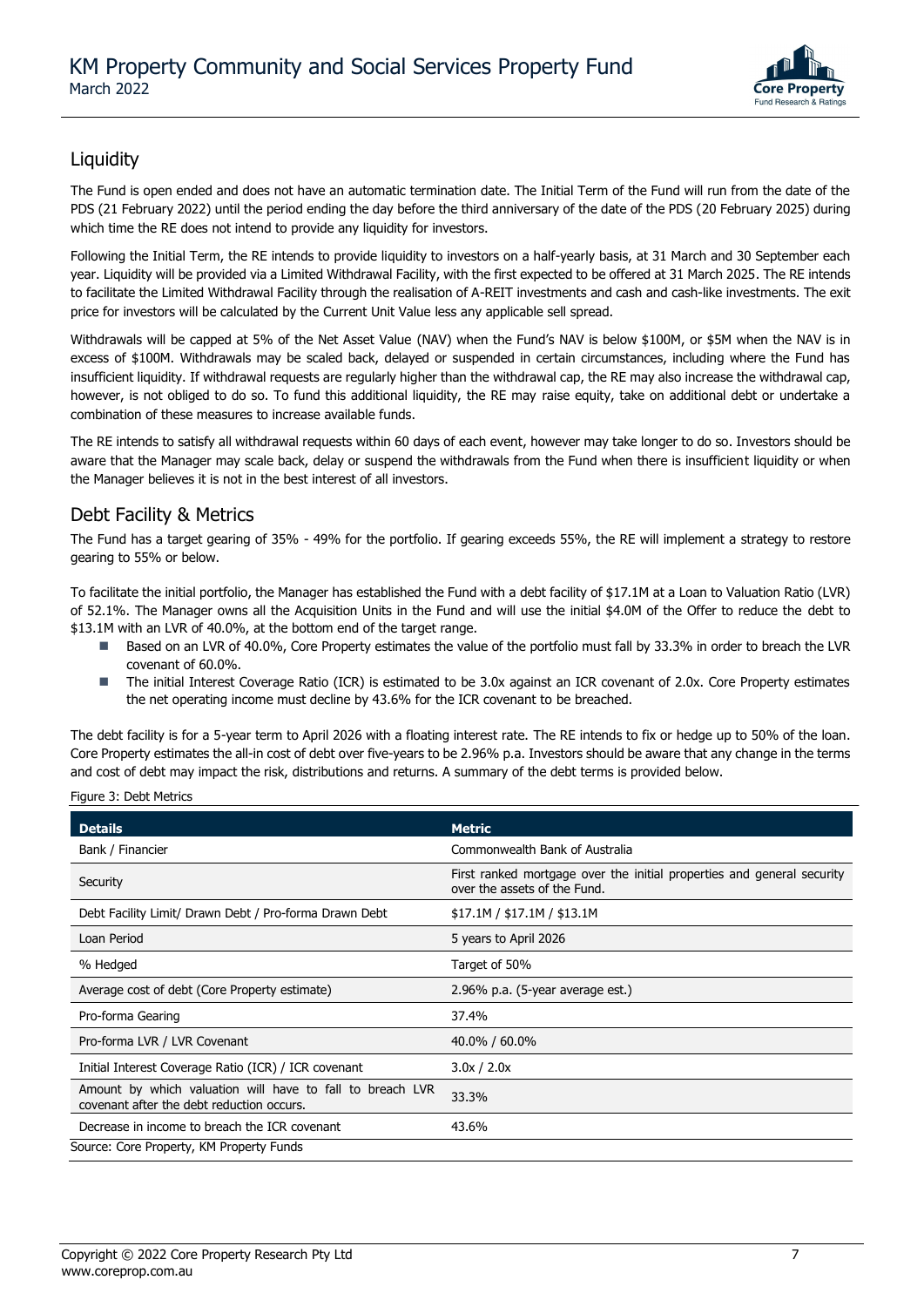

### **Liquidity**

The Fund is open ended and does not have an automatic termination date. The Initial Term of the Fund will run from the date of the PDS (21 February 2022) until the period ending the day before the third anniversary of the date of the PDS (20 February 2025) during which time the RE does not intend to provide any liquidity for investors.

Following the Initial Term, the RE intends to provide liquidity to investors on a half-yearly basis, at 31 March and 30 September each year. Liquidity will be provided via a Limited Withdrawal Facility, with the first expected to be offered at 31 March 2025. The RE intends to facilitate the Limited Withdrawal Facility through the realisation of A-REIT investments and cash and cash-like investments. The exit price for investors will be calculated by the Current Unit Value less any applicable sell spread.

Withdrawals will be capped at 5% of the Net Asset Value (NAV) when the Fund's NAV is below \$100M, or \$5M when the NAV is in excess of \$100M. Withdrawals may be scaled back, delayed or suspended in certain circumstances, including where the Fund has insufficient liquidity. If withdrawal requests are regularly higher than the withdrawal cap, the RE may also increase the withdrawal cap, however, is not obliged to do so. To fund this additional liquidity, the RE may raise equity, take on additional debt or undertake a combination of these measures to increase available funds.

The RE intends to satisfy all withdrawal requests within 60 days of each event, however may take longer to do so. Investors should be aware that the Manager may scale back, delay or suspend the withdrawals from the Fund when there is insufficient liquidity or when the Manager believes it is not in the best interest of all investors.

### Debt Facility & Metrics

The Fund has a target gearing of 35% - 49% for the portfolio. If gearing exceeds 55%, the RE will implement a strategy to restore gearing to 55% or below.

To facilitate the initial portfolio, the Manager has established the Fund with a debt facility of \$17.1M at a Loan to Valuation Ratio (LVR) of 52.1%. The Manager owns all the Acquisition Units in the Fund and will use the initial \$4.0M of the Offer to reduce the debt to \$13.1M with an LVR of 40.0%, at the bottom end of the target range.

- Based on an LVR of 40.0%, Core Property estimates the value of the portfolio must fall by 33.3% in order to breach the LVR covenant of 60.0%.
- The initial Interest Coverage Ratio (ICR) is estimated to be 3.0x against an ICR covenant of 2.0x. Core Property estimates the net operating income must decline by 43.6% for the ICR covenant to be breached.

The debt facility is for a 5-year term to April 2026 with a floating interest rate. The RE intends to fix or hedge up to 50% of the loan. Core Property estimates the all-in cost of debt over five-years to be 2.96% p.a. Investors should be aware that any change in the terms and cost of debt may impact the risk, distributions and returns. A summary of the debt terms is provided below.

Figure 3: Debt Metrics

| <b>Details</b>                                                                                         | <b>Metric</b>                                                                                          |  |
|--------------------------------------------------------------------------------------------------------|--------------------------------------------------------------------------------------------------------|--|
| Bank / Financier                                                                                       | Commonwealth Bank of Australia                                                                         |  |
| Security                                                                                               | First ranked mortgage over the initial properties and general security<br>over the assets of the Fund. |  |
| Debt Facility Limit/ Drawn Debt / Pro-forma Drawn Debt                                                 | \$17.1M / \$17.1M / \$13.1M                                                                            |  |
| Loan Period                                                                                            | 5 years to April 2026                                                                                  |  |
| % Hedged                                                                                               | Target of 50%                                                                                          |  |
| Average cost of debt (Core Property estimate)                                                          | $2.96\%$ p.a. (5-year average est.)                                                                    |  |
| Pro-forma Gearing                                                                                      | 37.4%                                                                                                  |  |
| Pro-forma LVR / LVR Covenant                                                                           | 40.0% / 60.0%                                                                                          |  |
| Initial Interest Coverage Ratio (ICR) / ICR covenant                                                   | 3.0x / 2.0x                                                                                            |  |
| Amount by which valuation will have to fall to breach LVR<br>covenant after the debt reduction occurs. | 33.3%                                                                                                  |  |
| Decrease in income to breach the ICR covenant                                                          | 43.6%                                                                                                  |  |
| Source: Core Property, KM Property Funds                                                               |                                                                                                        |  |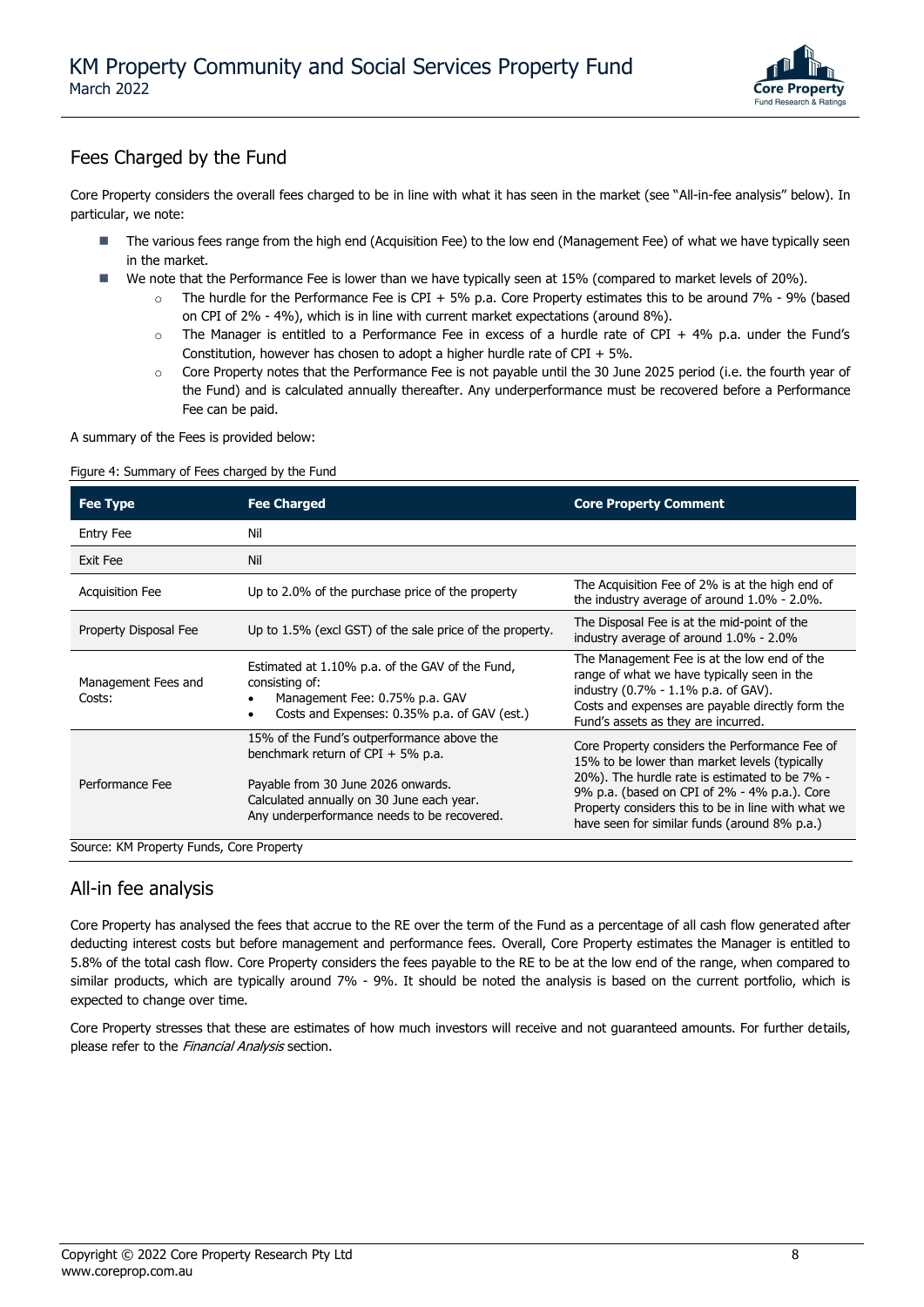

### Fees Charged by the Fund

Core Property considers the overall fees charged to be in line with what it has seen in the market (see "All-in-fee analysis" below). In particular, we note:

- The various fees range from the high end (Acquisition Fee) to the low end (Management Fee) of what we have typically seen in the market.
- We note that the Performance Fee is lower than we have typically seen at 15% (compared to market levels of 20%).
	- o The hurdle for the Performance Fee is CPI + 5% p.a. Core Property estimates this to be around 7% 9% (based on CPI of 2% - 4%), which is in line with current market expectations (around 8%).
	- $\circ$  The Manager is entitled to a Performance Fee in excess of a hurdle rate of CPI + 4% p.a. under the Fund's Constitution, however has chosen to adopt a higher hurdle rate of CPI  $+ 5\%$ .
	- o Core Property notes that the Performance Fee is not payable until the 30 June 2025 period (i.e. the fourth year of the Fund) and is calculated annually thereafter. Any underperformance must be recovered before a Performance Fee can be paid.

A summary of the Fees is provided below:

#### Figure 4: Summary of Fees charged by the Fund

| <b>Fee Type</b>                          | <b>Fee Charged</b>                                                                                                                                                                                                  | <b>Core Property Comment</b>                                                                                                                                                                                                                           |
|------------------------------------------|---------------------------------------------------------------------------------------------------------------------------------------------------------------------------------------------------------------------|--------------------------------------------------------------------------------------------------------------------------------------------------------------------------------------------------------------------------------------------------------|
| <b>Entry Fee</b>                         | Nil                                                                                                                                                                                                                 |                                                                                                                                                                                                                                                        |
| Exit Fee                                 | Nil                                                                                                                                                                                                                 |                                                                                                                                                                                                                                                        |
| <b>Acquisition Fee</b>                   | Up to 2.0% of the purchase price of the property                                                                                                                                                                    | The Acquisition Fee of 2% is at the high end of<br>the industry average of around $1.0\%$ - 2.0%.                                                                                                                                                      |
| Property Disposal Fee                    | Up to 1.5% (excl GST) of the sale price of the property.                                                                                                                                                            | The Disposal Fee is at the mid-point of the<br>industry average of around 1.0% - 2.0%                                                                                                                                                                  |
| Management Fees and<br>Costs:            | Estimated at 1.10% p.a. of the GAV of the Fund,<br>consisting of:<br>Management Fee: 0.75% p.a. GAV<br>$\bullet$<br>Costs and Expenses: 0.35% p.a. of GAV (est.)<br>$\bullet$                                       | The Management Fee is at the low end of the<br>range of what we have typically seen in the<br>industry (0.7% - 1.1% p.a. of GAV).<br>Costs and expenses are payable directly form the<br>Fund's assets as they are incurred.                           |
| Performance Fee                          | 15% of the Fund's outperformance above the<br>benchmark return of CPI $+5\%$ p.a.<br>Payable from 30 June 2026 onwards.<br>Calculated annually on 30 June each year.<br>Any underperformance needs to be recovered. | Core Property considers the Performance Fee of<br>15% to be lower than market levels (typically<br>20%). The hurdle rate is estimated to be 7% -<br>9% p.a. (based on CPI of 2% - 4% p.a.). Core<br>Property considers this to be in line with what we |
| Source: KM Property Funds, Core Property |                                                                                                                                                                                                                     | have seen for similar funds (around 8% p.a.)                                                                                                                                                                                                           |

### All-in fee analysis

Core Property has analysed the fees that accrue to the RE over the term of the Fund as a percentage of all cash flow generated after deducting interest costs but before management and performance fees. Overall, Core Property estimates the Manager is entitled to 5.8% of the total cash flow. Core Property considers the fees payable to the RE to be at the low end of the range, when compared to similar products, which are typically around 7% - 9%. It should be noted the analysis is based on the current portfolio, which is expected to change over time.

Core Property stresses that these are estimates of how much investors will receive and not guaranteed amounts. For further details, please refer to the *Financial Analysis* section.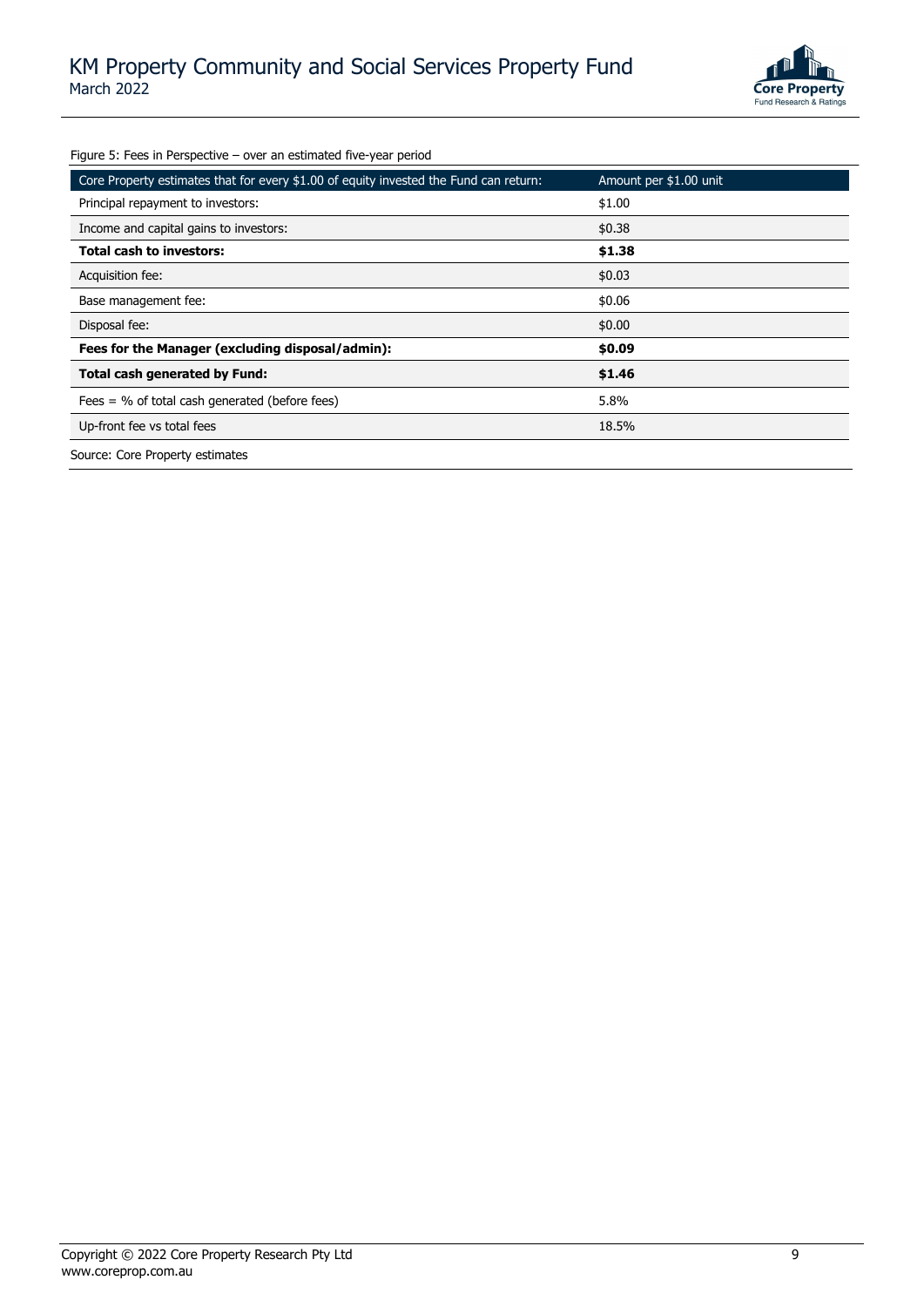

Figure 5: Fees in Perspective – over an estimated five-year period

| igare 5. Fees in Ferspective Tover an estimated five year period.                     |                        |
|---------------------------------------------------------------------------------------|------------------------|
| Core Property estimates that for every \$1.00 of equity invested the Fund can return: | Amount per \$1.00 unit |
| Principal repayment to investors:                                                     | \$1.00                 |
| Income and capital gains to investors:                                                | \$0.38                 |
| <b>Total cash to investors:</b>                                                       | \$1.38                 |
| Acquisition fee:                                                                      | \$0.03                 |
| Base management fee:                                                                  | \$0.06                 |
| Disposal fee:                                                                         | \$0.00                 |
| Fees for the Manager (excluding disposal/admin):                                      | \$0.09                 |
| <b>Total cash generated by Fund:</b>                                                  | \$1.46                 |
| Fees $=$ % of total cash generated (before fees)                                      | 5.8%                   |
| Up-front fee vs total fees                                                            | 18.5%                  |
| Source: Core Property estimates                                                       |                        |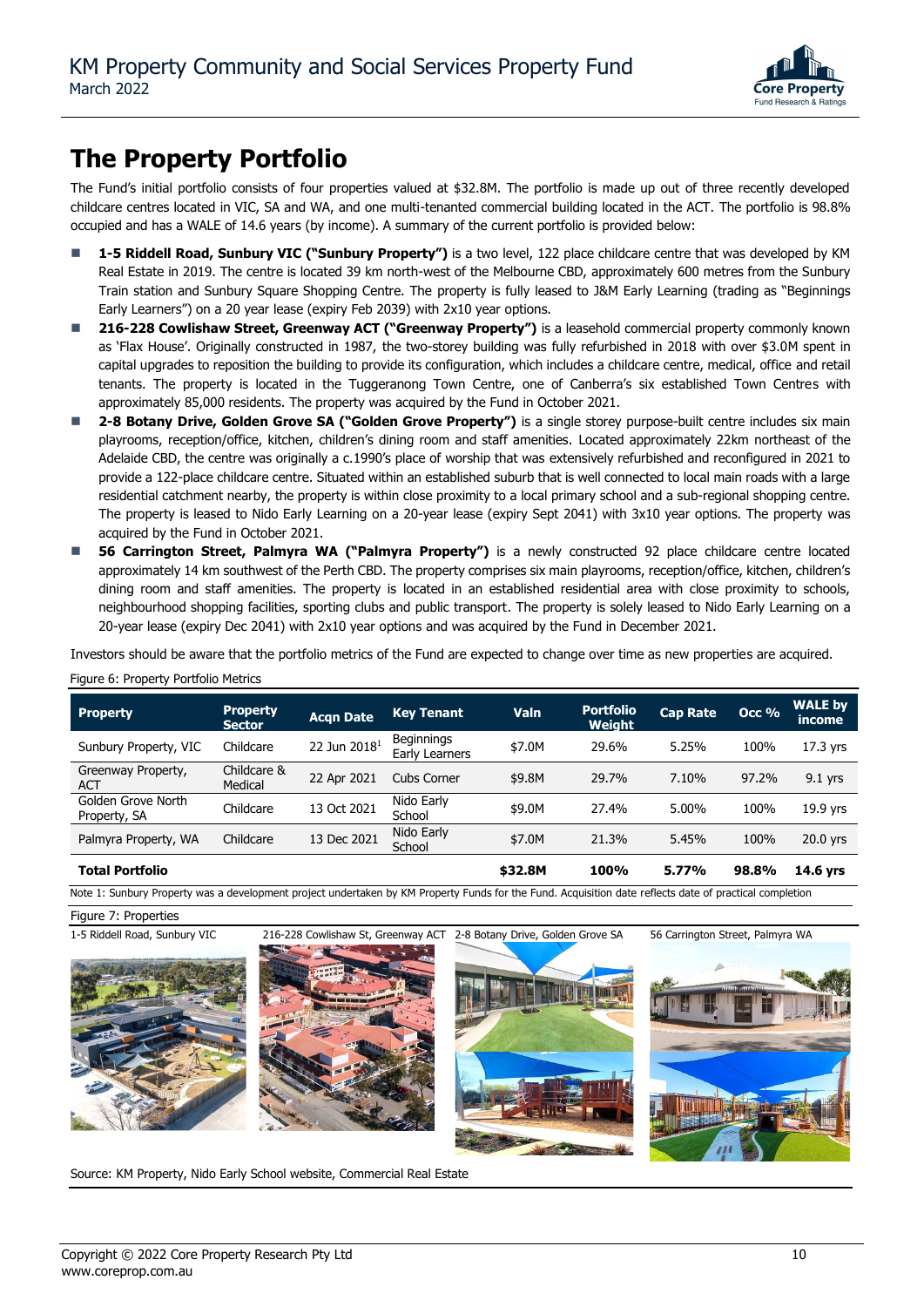

## **The Property Portfolio**

The Fund's initial portfolio consists of four properties valued at \$32.8M. The portfolio is made up out of three recently developed childcare centres located in VIC, SA and WA, and one multi-tenanted commercial building located in the ACT. The portfolio is 98.8% occupied and has a WALE of 14.6 years (by income). A summary of the current portfolio is provided below:

- 1-5 Riddell Road, Sunbury VIC ("Sunbury Property") is a two level, 122 place childcare centre that was developed by KM Real Estate in 2019. The centre is located 39 km north-west of the Melbourne CBD, approximately 600 metres from the Sunbury Train station and Sunbury Square Shopping Centre. The property is fully leased to J&M Early Learning (trading as "Beginnings Early Learners") on a 20 year lease (expiry Feb 2039) with 2x10 year options.
- ◼ **216-228 Cowlishaw Street, Greenway ACT ("Greenway Property")** is a leasehold commercial property commonly known as 'Flax House'. Originally constructed in 1987, the two-storey building was fully refurbished in 2018 with over \$3.0M spent in capital upgrades to reposition the building to provide its configuration, which includes a childcare centre, medical, office and retail tenants. The property is located in the Tuggeranong Town Centre, one of Canberra's six established Town Centres with approximately 85,000 residents. The property was acquired by the Fund in October 2021.
- 2-8 Botany Drive, Golden Grove SA ("Golden Grove Property") is a single storey purpose-built centre includes six main playrooms, reception/office, kitchen, children's dining room and staff amenities. Located approximately 22km northeast of the Adelaide CBD, the centre was originally a c.1990's place of worship that was extensively refurbished and reconfigured in 2021 to provide a 122-place childcare centre. Situated within an established suburb that is well connected to local main roads with a large residential catchment nearby, the property is within close proximity to a local primary school and a sub-regional shopping centre. The property is leased to Nido Early Learning on a 20-year lease (expiry Sept 2041) with 3x10 year options. The property was acquired by the Fund in October 2021.
- ◼ **56 Carrington Street, Palmyra WA ("Palmyra Property")** is a newly constructed 92 place childcare centre located approximately 14 km southwest of the Perth CBD. The property comprises six main playrooms, reception/office, kitchen, children's dining room and staff amenities. The property is located in an established residential area with close proximity to schools, neighbourhood shopping facilities, sporting clubs and public transport. The property is solely leased to Nido Early Learning on a 20-year lease (expiry Dec 2041) with 2x10 year options and was acquired by the Fund in December 2021.

Investors should be aware that the portfolio metrics of the Fund are expected to change over time as new properties are acquired.

| <b>Property</b>                    | <b>Property</b><br><b>Sector</b> | <b>Acqn Date</b>         | <b>Key Tenant</b>                   | Valn    | <b>Portfolio</b><br>Weiaht | <b>Cap Rate</b> | Occ % | <b>WALE by</b><br>income |
|------------------------------------|----------------------------------|--------------------------|-------------------------------------|---------|----------------------------|-----------------|-------|--------------------------|
| Sunbury Property, VIC              | Childcare                        | 22 Jun 2018 <sup>1</sup> | <b>Beginnings</b><br>Early Learners | \$7.0M  | 29.6%                      | 5.25%           | 100%  | 17.3 yrs                 |
| Greenway Property,<br><b>ACT</b>   | Childcare &<br>Medical           | 22 Apr 2021              | Cubs Corner                         | \$9.8M  | 29.7%                      | 7.10%           | 97.2% | $9.1$ yrs                |
| Golden Grove North<br>Property, SA | Childcare                        | 13 Oct 2021              | Nido Early<br>School                | \$9.0M  | 27.4%                      | 5.00%           | 100%  | 19.9 yrs                 |
| Palmyra Property, WA               | Childcare                        | 13 Dec 2021              | Nido Early<br>School                | \$7.0M  | 21.3%                      | 5.45%           | 100%  | 20.0 yrs                 |
| <b>Total Portfolio</b>             |                                  |                          |                                     | \$32.8M | 100%                       | 5.77%           | 98.8% | 14.6 vrs                 |

#### Figure 6: Property Portfolio Metrics

Figure 7: Properties

Note 1: Sunbury Property was a development project undertaken by KM Property Funds for the Fund. Acquisition date reflects date of practical completion









Source: KM Property, Nido Early School website, Commercial Real Estate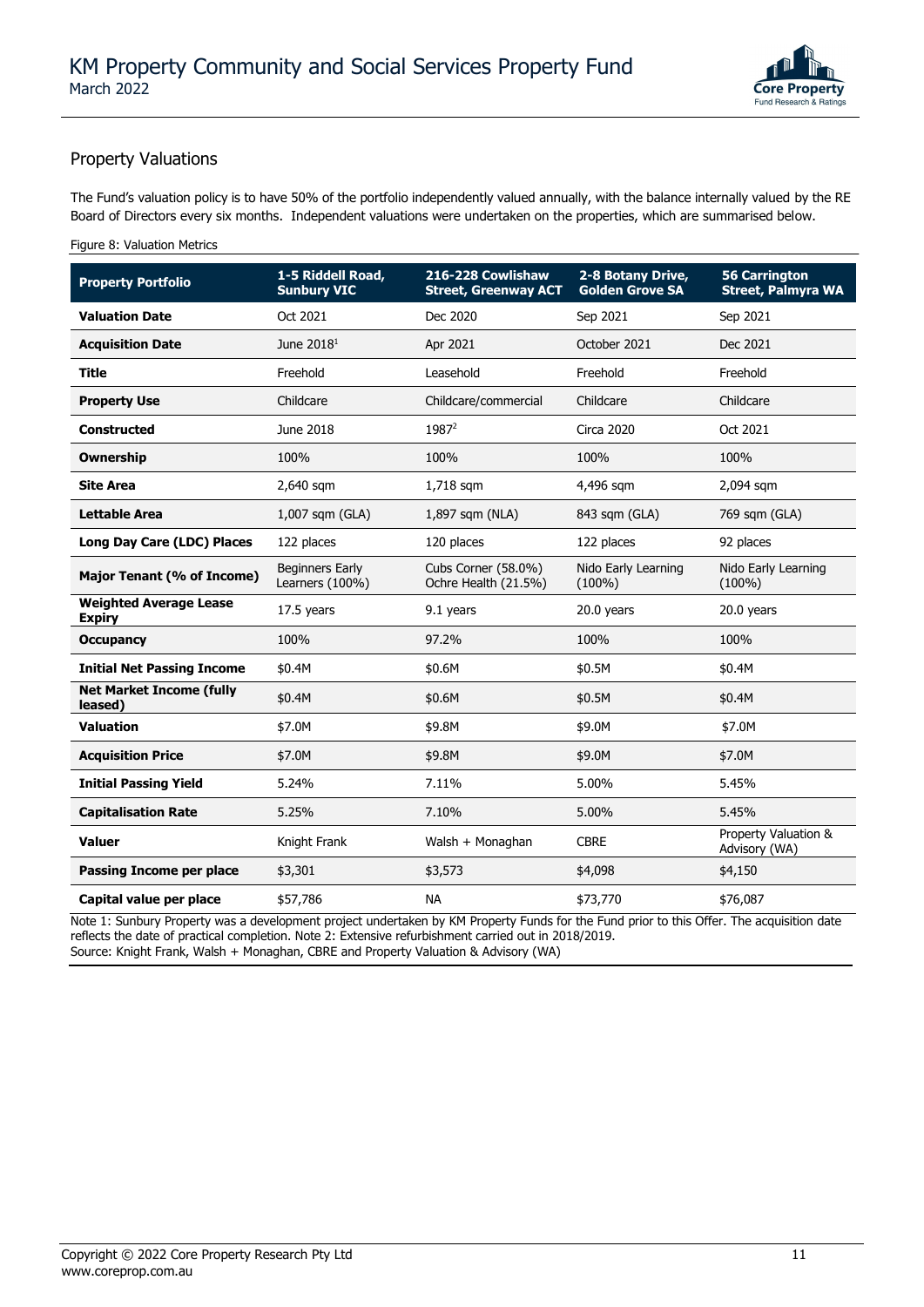

### Property Valuations

The Fund's valuation policy is to have 50% of the portfolio independently valued annually, with the balance internally valued by the RE Board of Directors every six months. Independent valuations were undertaken on the properties, which are summarised below.

### Figure 8: Valuation Metrics

| <b>Property Portfolio</b>                      | 1-5 Riddell Road,<br><b>Sunbury VIC</b>   | 216-228 Cowlishaw<br><b>Street, Greenway ACT</b> | 2-8 Botany Drive,<br><b>Golden Grove SA</b> | <b>56 Carrington</b><br><b>Street, Palmyra WA</b> |
|------------------------------------------------|-------------------------------------------|--------------------------------------------------|---------------------------------------------|---------------------------------------------------|
| <b>Valuation Date</b>                          | Oct 2021                                  | Dec 2020                                         | Sep 2021                                    | Sep 2021                                          |
| <b>Acquisition Date</b>                        | June 2018 <sup>1</sup>                    | Apr 2021                                         | October 2021                                | Dec 2021                                          |
| <b>Title</b>                                   | Freehold                                  | Leasehold                                        | Freehold                                    | Freehold                                          |
| <b>Property Use</b>                            | Childcare                                 | Childcare/commercial                             | Childcare                                   | Childcare                                         |
| <b>Constructed</b>                             | June 2018                                 | 1987 <sup>2</sup>                                | <b>Circa 2020</b>                           | Oct 2021                                          |
| <b>Ownership</b>                               | 100%                                      | 100%                                             | 100%                                        | 100%                                              |
| <b>Site Area</b>                               | 2,640 sqm                                 | 1,718 sqm                                        | 4,496 sqm                                   | 2,094 sqm                                         |
| Lettable Area                                  | 1,007 sqm (GLA)                           | 1,897 sqm (NLA)                                  | 843 sqm (GLA)                               | 769 sqm (GLA)                                     |
| Long Day Care (LDC) Places                     | 122 places                                | 120 places                                       | 122 places                                  | 92 places                                         |
| Major Tenant (% of Income)                     | <b>Beginners Early</b><br>Learners (100%) | Cubs Corner (58.0%)<br>Ochre Health (21.5%)      | Nido Early Learning<br>$(100\%)$            | Nido Early Learning<br>$(100\%)$                  |
| <b>Weighted Average Lease</b><br><b>Expiry</b> | 17.5 years                                | 9.1 years                                        | 20.0 years                                  | 20.0 years                                        |
| <b>Occupancy</b>                               | 100%                                      | 97.2%                                            | 100%                                        | 100%                                              |
| <b>Initial Net Passing Income</b>              | \$0.4M                                    | \$0.6M                                           | \$0.5M                                      | \$0.4M                                            |
| <b>Net Market Income (fully</b><br>leased)     | \$0.4M                                    | \$0.6M                                           | \$0.5M                                      | \$0.4M                                            |
| <b>Valuation</b>                               | \$7.0M                                    | \$9.8M                                           | \$9.0M                                      | \$7.0M                                            |
| <b>Acquisition Price</b>                       | \$7.0M                                    | \$9.8M                                           | \$9.0M                                      | \$7.0M                                            |
| <b>Initial Passing Yield</b>                   | 5.24%                                     | 7.11%                                            | 5.00%                                       | 5.45%                                             |
| <b>Capitalisation Rate</b>                     | 5.25%                                     | 7.10%                                            | 5.00%                                       | 5.45%                                             |
| Valuer                                         | Knight Frank                              | Walsh + Monaghan                                 | <b>CBRE</b>                                 | Property Valuation &<br>Advisory (WA)             |
| <b>Passing Income per place</b>                | \$3,301                                   | \$3,573                                          | \$4,098                                     | \$4,150                                           |
| Capital value per place                        | \$57,786                                  | <b>NA</b>                                        | \$73,770                                    | \$76,087                                          |

Note 1: Sunbury Property was a development project undertaken by KM Property Funds for the Fund prior to this Offer. The acquisition date reflects the date of practical completion. Note 2: Extensive refurbishment carried out in 2018/2019. Source: Knight Frank, Walsh + Monaghan, CBRE and Property Valuation & Advisory (WA)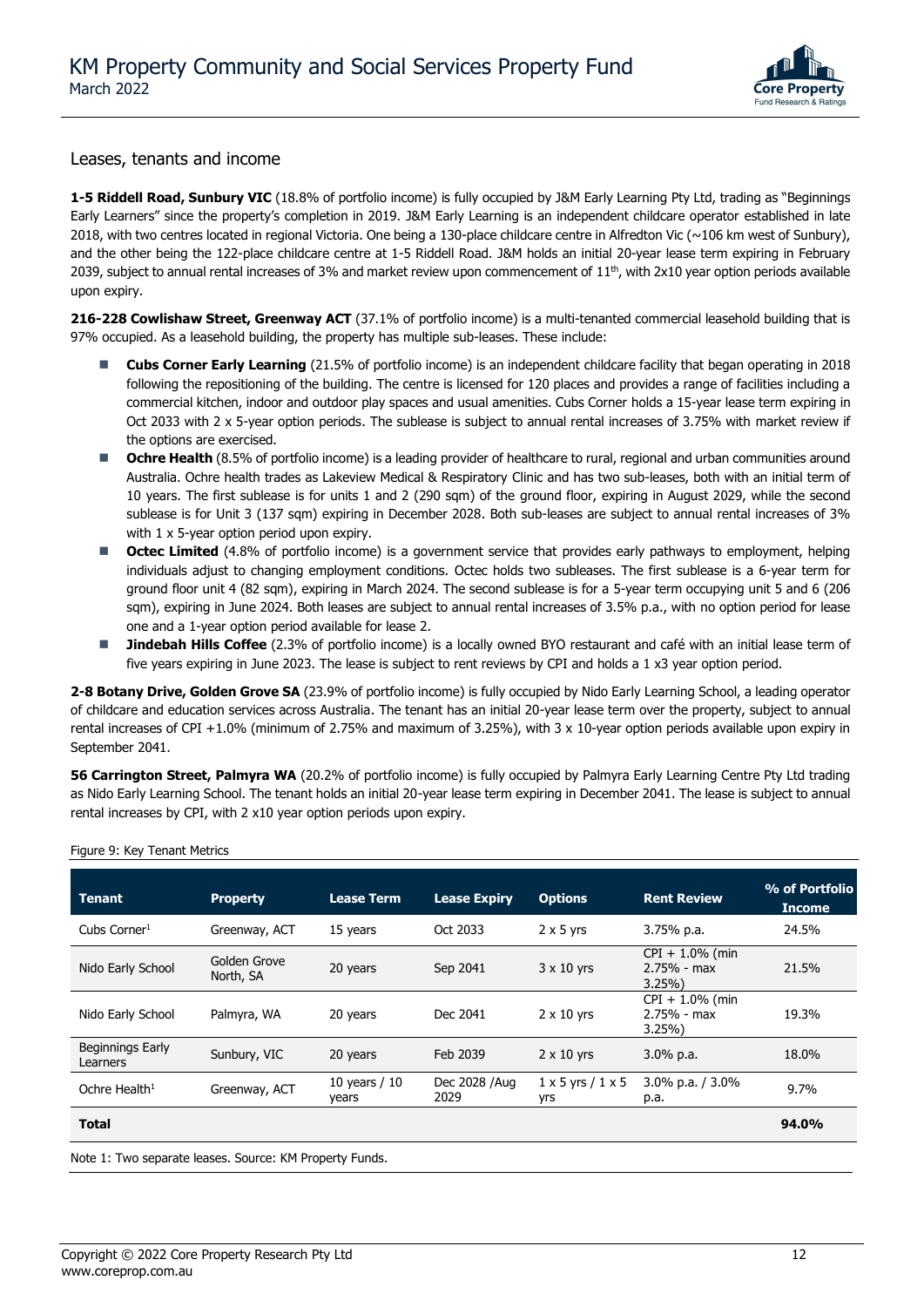

### Leases, tenants and income

1-5 Riddell Road, Sunbury VIC (18.8% of portfolio income) is fully occupied by J&M Early Learning Pty Ltd, trading as "Beginnings Early Learners" since the property's completion in 2019. J&M Early Learning is an independent childcare operator established in late 2018, with two centres located in regional Victoria. One being a 130-place childcare centre in Alfredton Vic  $(\sim 106$  km west of Sunbury), and the other being the 122-place childcare centre at 1-5 Riddell Road. J&M holds an initial 20-year lease term expiring in February 2039, subject to annual rental increases of 3% and market review upon commencement of  $11<sup>th</sup>$ , with 2x10 year option periods available upon expiry.

**216-228 Cowlishaw Street, Greenway ACT** (37.1% of portfolio income) is a multi-tenanted commercial leasehold building that is 97% occupied. As a leasehold building, the property has multiple sub-leases. These include:

- Cubs Corner Early Learning (21.5% of portfolio income) is an independent childcare facility that began operating in 2018 following the repositioning of the building. The centre is licensed for 120 places and provides a range of facilities including a commercial kitchen, indoor and outdoor play spaces and usual amenities. Cubs Corner holds a 15-year lease term expiring in Oct 2033 with 2 x 5-year option periods. The sublease is subject to annual rental increases of 3.75% with market review if the options are exercised.
- Ochre Health (8.5% of portfolio income) is a leading provider of healthcare to rural, regional and urban communities around Australia. Ochre health trades as Lakeview Medical & Respiratory Clinic and has two sub-leases, both with an initial term of 10 years. The first sublease is for units 1 and 2 (290 sqm) of the ground floor, expiring in August 2029, while the second sublease is for Unit 3 (137 sqm) expiring in December 2028. Both sub-leases are subject to annual rental increases of 3% with 1 x 5-year option period upon expiry.
- Octec Limited (4.8% of portfolio income) is a government service that provides early pathways to employment, helping individuals adjust to changing employment conditions. Octec holds two subleases. The first sublease is a 6-year term for ground floor unit 4 (82 sqm), expiring in March 2024. The second sublease is for a 5-year term occupying unit 5 and 6 (206 sqm), expiring in June 2024. Both leases are subject to annual rental increases of 3.5% p.a., with no option period for lease one and a 1-year option period available for lease 2.
- Jindebah Hills Coffee (2.3% of portfolio income) is a locally owned BYO restaurant and café with an initial lease term of five years expiring in June 2023. The lease is subject to rent reviews by CPI and holds a 1 x3 year option period.

**2-8 Botany Drive, Golden Grove SA** (23.9% of portfolio income) is fully occupied by Nido Early Learning School, a leading operator of childcare and education services across Australia. The tenant has an initial 20-year lease term over the property, subject to annual rental increases of CPI +1.0% (minimum of 2.75% and maximum of 3.25%), with 3 x 10-year option periods available upon expiry in September 2041.

**56 Carrington Street, Palmyra WA** (20.2% of portfolio income) is fully occupied by Palmyra Early Learning Centre Pty Ltd trading as Nido Early Learning School. The tenant holds an initial 20-year lease term expiring in December 2041. The lease is subject to annual rental increases by CPI, with 2 x10 year option periods upon expiry.

| <b>Tenant</b>                | <b>Property</b>           | <b>Lease Term</b>        | <b>Lease Expiry</b>    | <b>Options</b>                        | <b>Rent Review</b>                           | % of Portfolio<br>Income |
|------------------------------|---------------------------|--------------------------|------------------------|---------------------------------------|----------------------------------------------|--------------------------|
| Cubs Corner $1$              | Greenway, ACT             | 15 years                 | Oct 2033               | $2 \times 5$ yrs                      | 3.75% p.a.                                   | 24.5%                    |
| Nido Early School            | Golden Grove<br>North, SA | 20 years                 | Sep 2041               | $3 \times 10$ yrs                     | $CPI + 1.0\%$ (min<br>$2.75% - max$<br>3.25% | 21.5%                    |
| Nido Early School            | Palmyra, WA               | 20 years                 | Dec 2041               | $2 \times 10$ yrs                     | $CPI + 1.0\%$ (min<br>$2.75% - max$<br>3.25% | 19.3%                    |
| Beginnings Early<br>Learners | Sunbury, VIC              | 20 years                 | Feb 2039               | $2 \times 10$ yrs                     | $3.0\%$ p.a.                                 | 18.0%                    |
| Ochre Health <sup>1</sup>    | Greenway, ACT             | 10 years $/ 10$<br>years | Dec 2028 / Aug<br>2029 | $1 \times 5$ yrs $/1 \times 5$<br>yrs | $3.0\%$ p.a. / $3.0\%$<br>p.a.               | 9.7%                     |
| <b>Total</b>                 |                           |                          |                        |                                       |                                              | 94.0%                    |

Figure 9: Key Tenant Metrics

Note 1: Two separate leases. Source: KM Property Funds.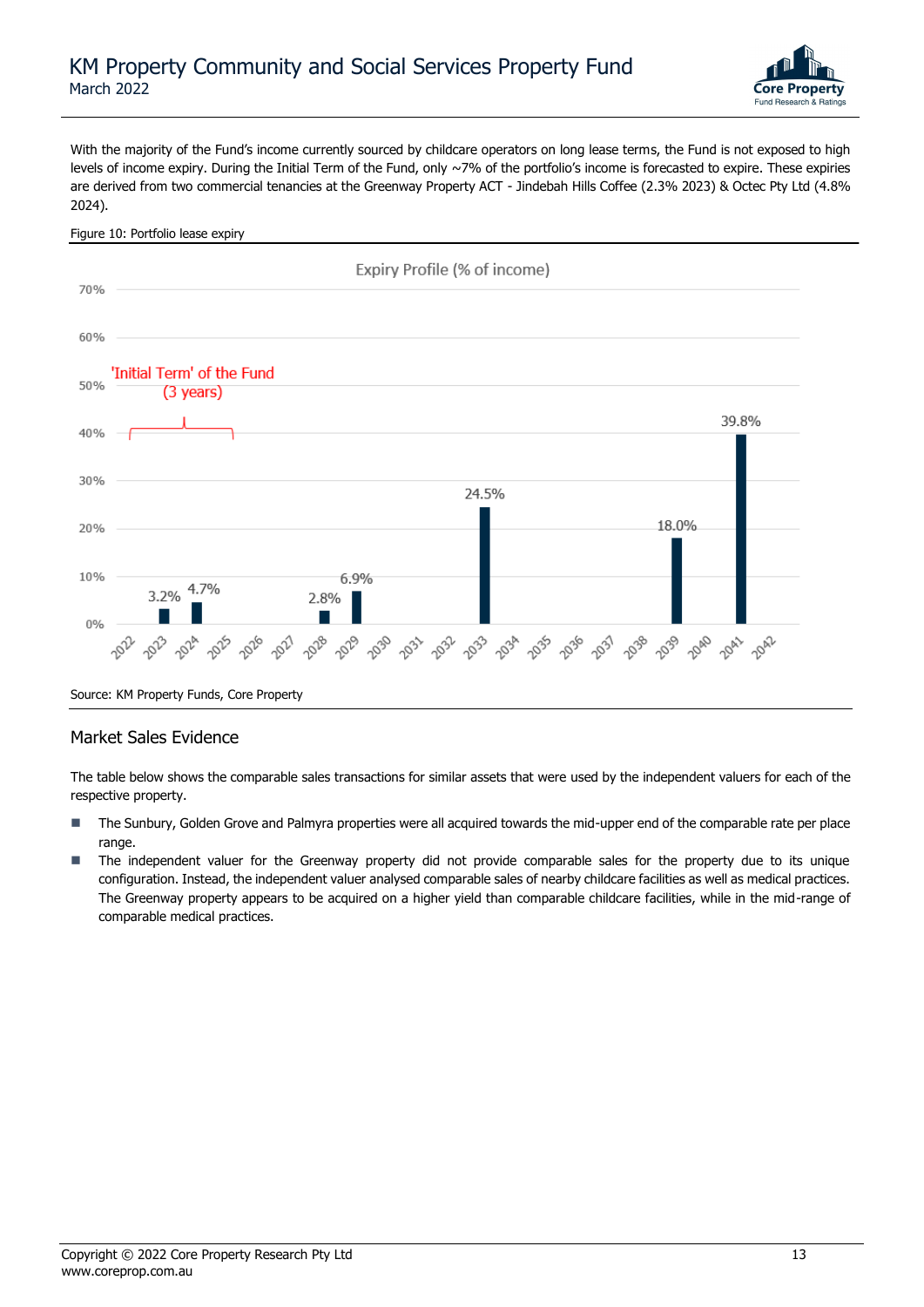

With the majority of the Fund's income currently sourced by childcare operators on long lease terms, the Fund is not exposed to high levels of income expiry. During the Initial Term of the Fund, only ~7% of the portfolio's income is forecasted to expire. These expiries are derived from two commercial tenancies at the Greenway Property ACT - Jindebah Hills Coffee (2.3% 2023) & Octec Pty Ltd (4.8% 2024).

#### Figure 10: Portfolio lease expiry Expiry Profile (% of income) 70% 60% 'Initial Term' of the Fund 50% (3 years) 39.8% 40% 30% 24.5% 18.0% 20% 10% 6.9% 4.7% 3.2% 2.8%  $0%$ 2030 2033 2035 2039 2040 2032 2034 2038 2041 2042 2031 Source: KM Property Funds, Core Property

### Market Sales Evidence

The table below shows the comparable sales transactions for similar assets that were used by the independent valuers for each of the respective property.

- The Sunbury, Golden Grove and Palmyra properties were all acquired towards the mid-upper end of the comparable rate per place range.
- The independent valuer for the Greenway property did not provide comparable sales for the property due to its unique configuration. Instead, the independent valuer analysed comparable sales of nearby childcare facilities as well as medical practices. The Greenway property appears to be acquired on a higher yield than comparable childcare facilities, while in the mid-range of comparable medical practices.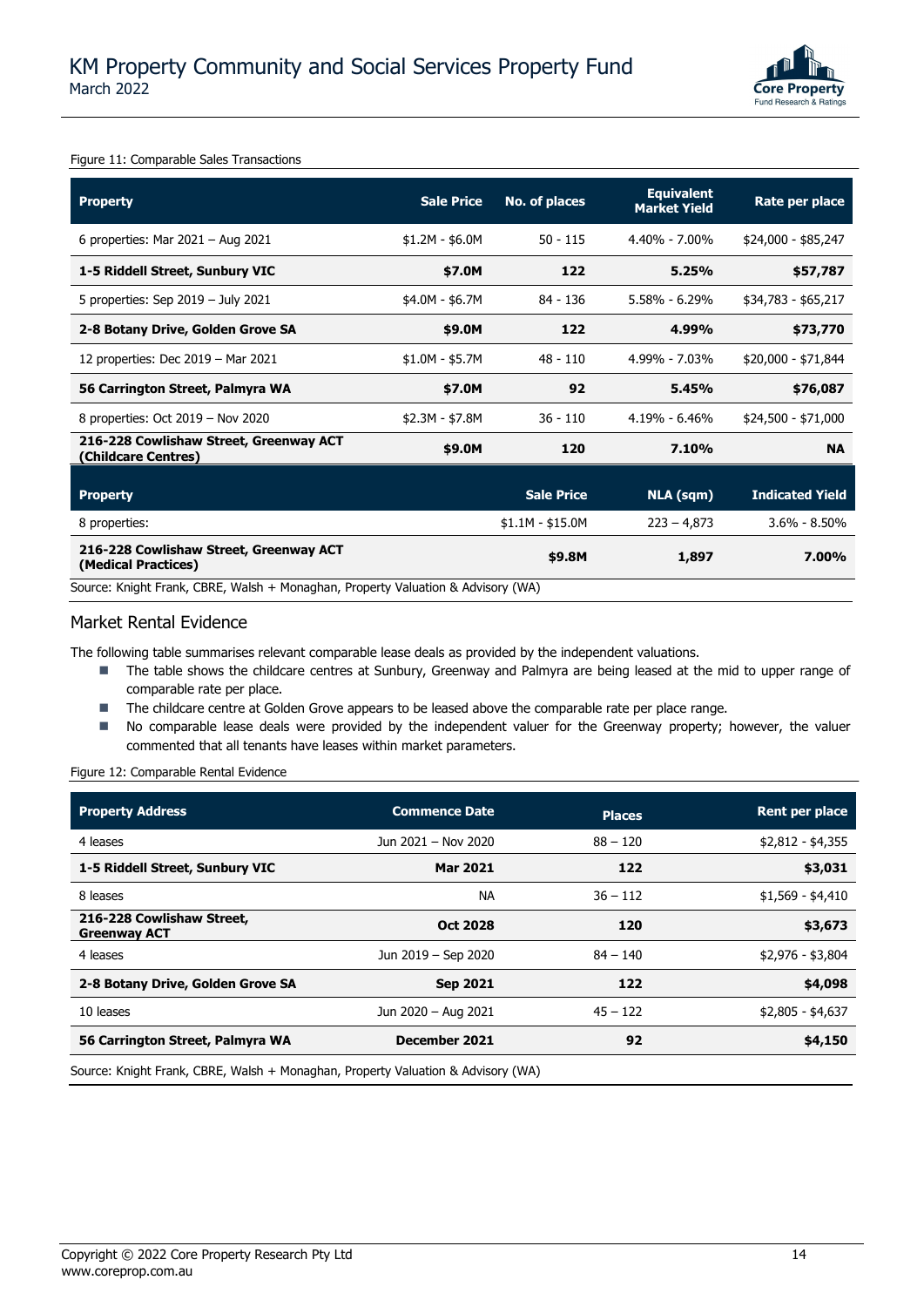

Figure 11: Comparable Sales Transactions

| <b>Property</b>                                                                  | <b>Sale Price</b> | No. of places     | <b>Equivalent</b><br><b>Market Yield</b> | Rate per place         |
|----------------------------------------------------------------------------------|-------------------|-------------------|------------------------------------------|------------------------|
| 6 properties: Mar $2021 -$ Aug $2021$                                            | $$1.2M - $6.0M$   | $50 - 115$        | $4.40\% - 7.00\%$                        | \$24,000 - \$85,247    |
| 1-5 Riddell Street, Sunbury VIC                                                  | \$7.0M            | 122               | 5.25%                                    | \$57,787               |
| 5 properties: Sep $2019 -$ July 2021                                             | \$4.0M - \$6.7M   | 84 - 136          | $5.58\% - 6.29\%$                        | \$34,783 - \$65,217    |
| 2-8 Botany Drive, Golden Grove SA                                                | \$9.0M            | 122               | 4.99%                                    | \$73,770               |
| 12 properties: Dec 2019 - Mar 2021                                               | $$1.0M - $5.7M$   | $48 - 110$        | 4.99% - 7.03%                            | \$20,000 - \$71,844    |
| 56 Carrington Street, Palmyra WA                                                 | \$7.0M            | 92                | 5.45%                                    | \$76,087               |
| 8 properties: Oct 2019 - Nov 2020                                                | $$2.3M - $7.8M$   | $36 - 110$        | $4.19\% - 6.46\%$                        | \$24,500 - \$71,000    |
| 216-228 Cowlishaw Street, Greenway ACT<br>(Childcare Centres)                    | \$9.0M            | 120               | 7.10%                                    | <b>NA</b>              |
| <b>Property</b>                                                                  |                   | <b>Sale Price</b> | <b>NLA (sqm)</b>                         | <b>Indicated Yield</b> |
| 8 properties:                                                                    |                   | $$1.1M - $15.0M$  | $223 - 4,873$                            | $3.6\% - 8.50\%$       |
| 216-228 Cowlishaw Street, Greenway ACT<br>(Medical Practices)                    |                   | \$9.8M            | 1,897                                    | 7.00%                  |
| Source: Knight Frank, CBRE, Walsh + Monaghan, Property Valuation & Advisory (WA) |                   |                   |                                          |                        |

### Market Rental Evidence

The following table summarises relevant comparable lease deals as provided by the independent valuations.

- The table shows the childcare centres at Sunbury, Greenway and Palmyra are being leased at the mid to upper range of comparable rate per place.
- The childcare centre at Golden Grove appears to be leased above the comparable rate per place range.
- No comparable lease deals were provided by the independent valuer for the Greenway property; however, the valuer commented that all tenants have leases within market parameters.

Figure 12: Comparable Rental Evidence

| <b>Commence Date</b> | <b>Places</b> | Rent per place    |
|----------------------|---------------|-------------------|
| Jun 2021 - Nov 2020  | $88 - 120$    | $$2,812 - $4,355$ |
| <b>Mar 2021</b>      | 122           | \$3,031           |
| <b>NA</b>            | $36 - 112$    | $$1,569 - $4,410$ |
| <b>Oct 2028</b>      | 120           | \$3,673           |
| Jun 2019 - Sep 2020  | $84 - 140$    | \$2,976 - \$3,804 |
| <b>Sep 2021</b>      | 122           | \$4,098           |
| Jun 2020 - Aug 2021  | $45 - 122$    | $$2,805 - $4,637$ |
| December 2021        | 92            | \$4,150           |
|                      |               |                   |

Source: Knight Frank, CBRE, Walsh + Monaghan, Property Valuation & Advisory (WA)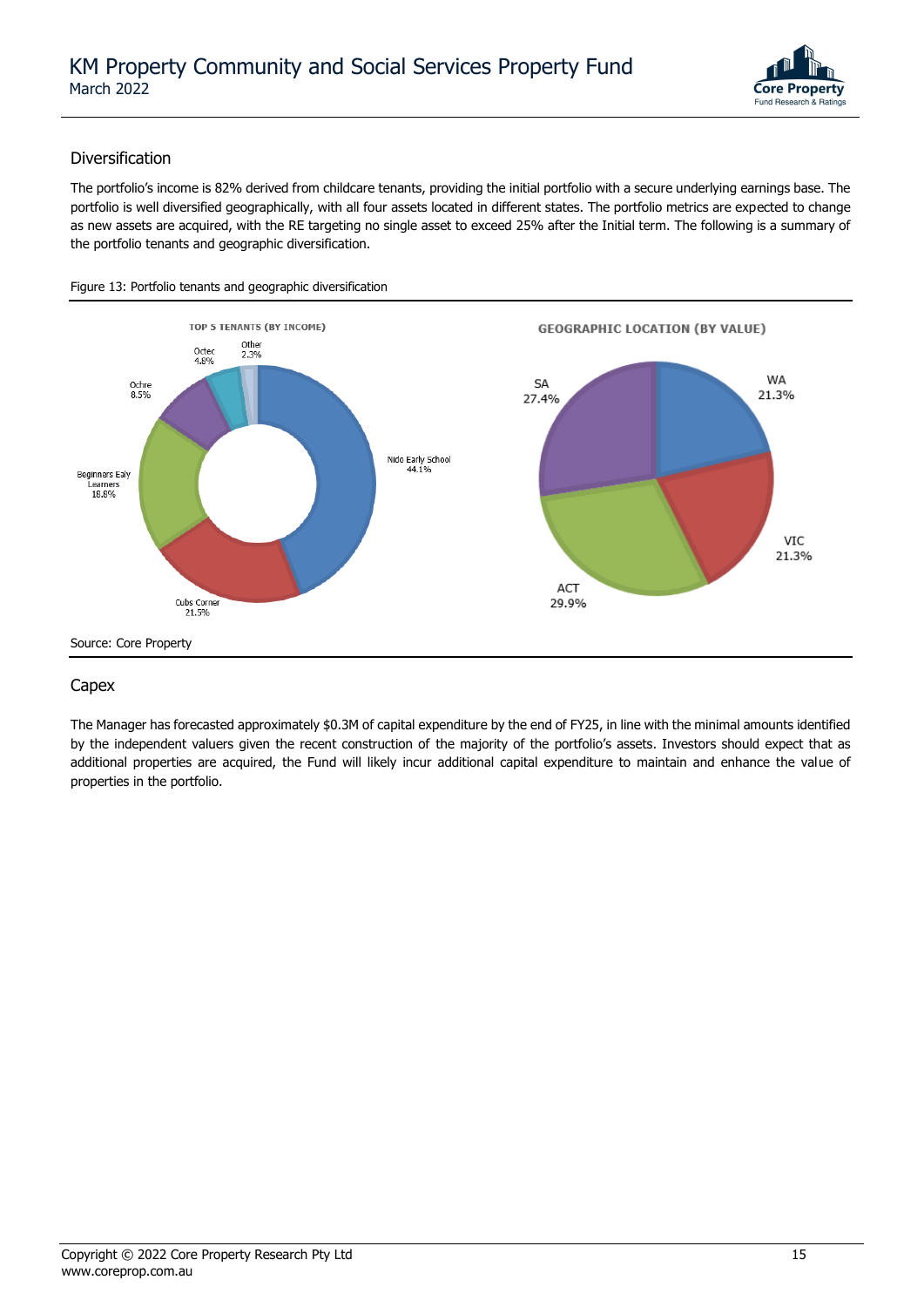

### Diversification

The portfolio's income is 82% derived from childcare tenants, providing the initial portfolio with a secure underlying earnings base. The portfolio is well diversified geographically, with all four assets located in different states. The portfolio metrics are expected to change as new assets are acquired, with the RE targeting no single asset to exceed 25% after the Initial term. The following is a summary of the portfolio tenants and geographic diversification.



### Capex

The Manager has forecasted approximately \$0.3M of capital expenditure by the end of FY25, in line with the minimal amounts identified by the independent valuers given the recent construction of the majority of the portfolio's assets. Investors should expect that as additional properties are acquired, the Fund will likely incur additional capital expenditure to maintain and enhance the value of properties in the portfolio.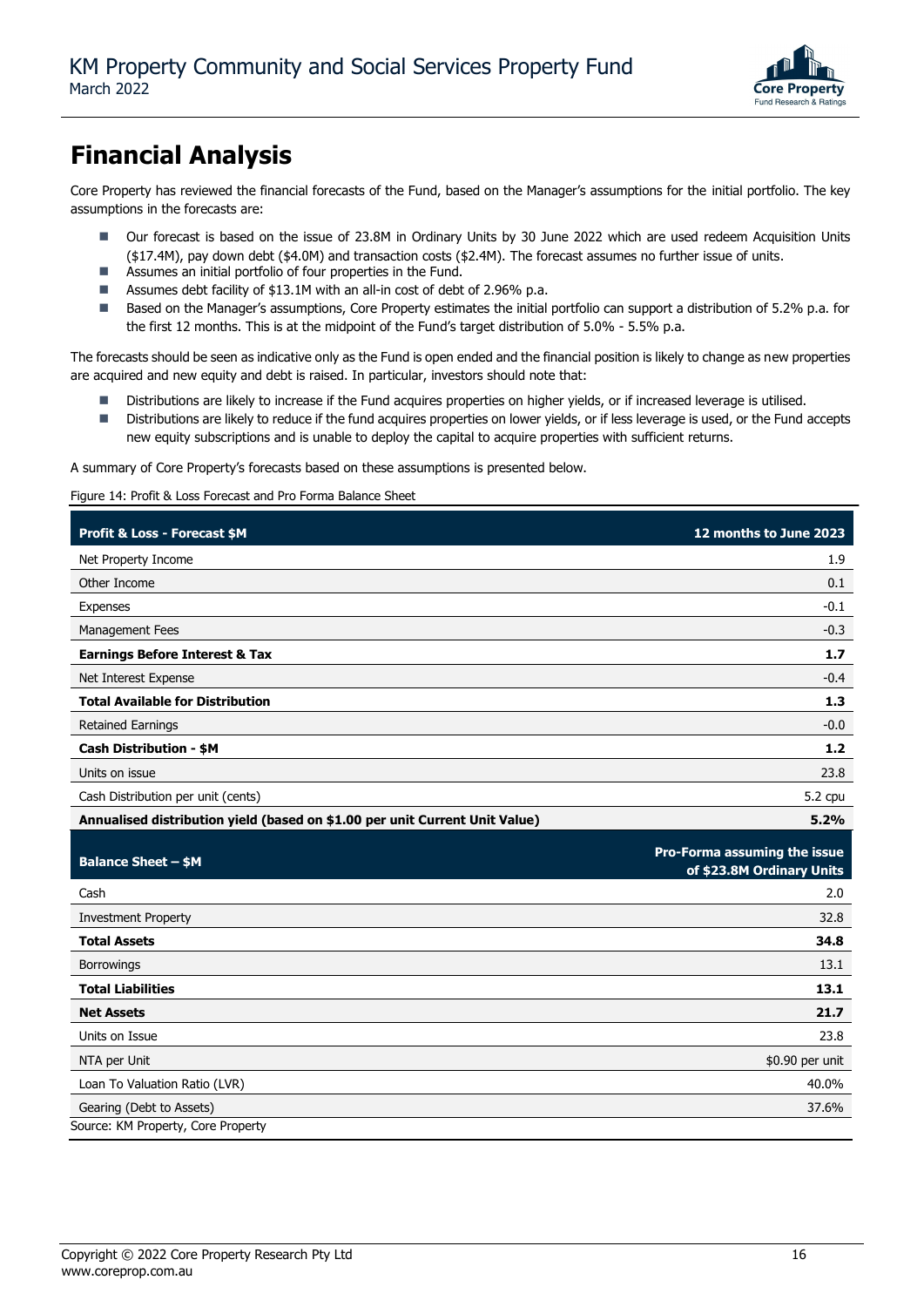

## **Financial Analysis**

Core Property has reviewed the financial forecasts of the Fund, based on the Manager's assumptions for the initial portfolio. The key assumptions in the forecasts are:

- Our forecast is based on the issue of 23.8M in Ordinary Units by 30 June 2022 which are used redeem Acquisition Units (\$17.4M), pay down debt (\$4.0M) and transaction costs (\$2.4M). The forecast assumes no further issue of units.
- Assumes an initial portfolio of four properties in the Fund.
- Assumes debt facility of \$13.1M with an all-in cost of debt of 2.96% p.a.
- Based on the Manager's assumptions, Core Property estimates the initial portfolio can support a distribution of 5.2% p.a. for the first 12 months. This is at the midpoint of the Fund's target distribution of 5.0% - 5.5% p.a.

The forecasts should be seen as indicative only as the Fund is open ended and the financial position is likely to change as new properties are acquired and new equity and debt is raised. In particular, investors should note that:

- Distributions are likely to increase if the Fund acquires properties on higher yields, or if increased leverage is utilised.
- Distributions are likely to reduce if the fund acquires properties on lower yields, or if less leverage is used, or the Fund accepts new equity subscriptions and is unable to deploy the capital to acquire properties with sufficient returns.

A summary of Core Property's forecasts based on these assumptions is presented below.

Figure 14: Profit & Loss Forecast and Pro Forma Balance Sheet

| Profit & Loss - Forecast \$M                                                | 12 months to June 2023                                    |
|-----------------------------------------------------------------------------|-----------------------------------------------------------|
| Net Property Income                                                         | 1.9                                                       |
| Other Income                                                                | 0.1                                                       |
| Expenses                                                                    | $-0.1$                                                    |
| Management Fees                                                             | $-0.3$                                                    |
| <b>Earnings Before Interest &amp; Tax</b>                                   | 1.7                                                       |
| Net Interest Expense                                                        | $-0.4$                                                    |
| <b>Total Available for Distribution</b>                                     | 1.3                                                       |
| <b>Retained Earnings</b>                                                    | $-0.0$                                                    |
| <b>Cash Distribution - \$M</b>                                              | $1.2$                                                     |
| Units on issue                                                              | 23.8                                                      |
| Cash Distribution per unit (cents)                                          | 5.2 cpu                                                   |
| Annualised distribution yield (based on \$1.00 per unit Current Unit Value) | 5.2%                                                      |
|                                                                             |                                                           |
| <b>Balance Sheet - \$M</b>                                                  | Pro-Forma assuming the issue<br>of \$23.8M Ordinary Units |
| Cash                                                                        | 2.0                                                       |
| <b>Investment Property</b>                                                  | 32.8                                                      |
| <b>Total Assets</b>                                                         | 34.8                                                      |
| Borrowings                                                                  | 13.1                                                      |
| <b>Total Liabilities</b>                                                    | 13.1                                                      |
| <b>Net Assets</b>                                                           | 21.7                                                      |
| Units on Issue                                                              | 23.8                                                      |
| NTA per Unit                                                                | \$0.90 per unit                                           |
| Loan To Valuation Ratio (LVR)                                               | 40.0%                                                     |
| Gearing (Debt to Assets)<br>Source: KM Property, Core Property              | 37.6%                                                     |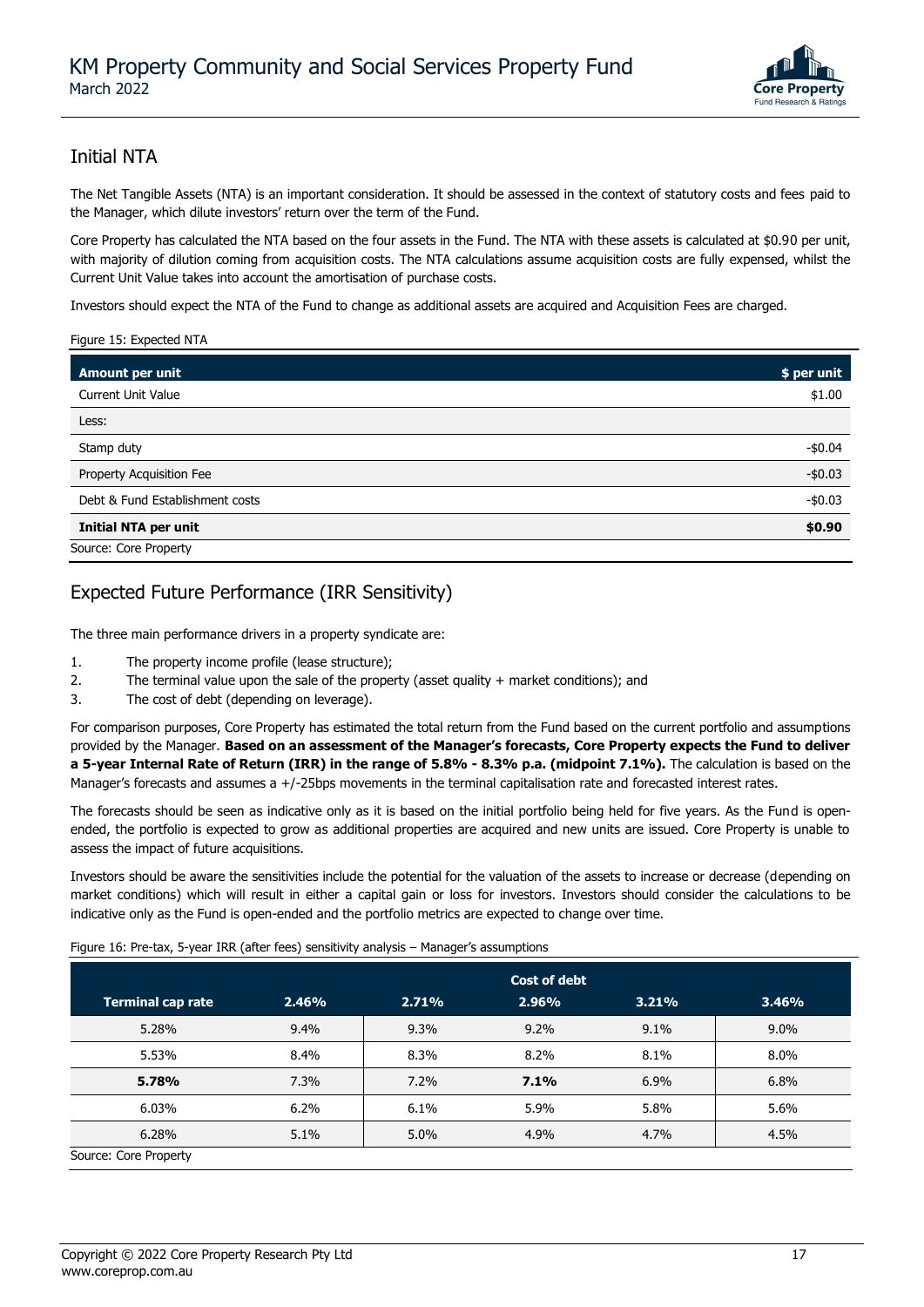

### Initial NTA

The Net Tangible Assets (NTA) is an important consideration. It should be assessed in the context of statutory costs and fees paid to the Manager, which dilute investors' return over the term of the Fund.

Core Property has calculated the NTA based on the four assets in the Fund. The NTA with these assets is calculated at \$0.90 per unit, with majority of dilution coming from acquisition costs. The NTA calculations assume acquisition costs are fully expensed, whilst the Current Unit Value takes into account the amortisation of purchase costs.

Investors should expect the NTA of the Fund to change as additional assets are acquired and Acquisition Fees are charged.

#### Figure 15: Expected NTA

| Amount per unit                 | \$ per unit |
|---------------------------------|-------------|
| <b>Current Unit Value</b>       | \$1.00      |
| Less:                           |             |
| Stamp duty                      | $-$0.04$    |
| Property Acquisition Fee        | $-$0.03$    |
| Debt & Fund Establishment costs | $-$0.03$    |
| <b>Initial NTA per unit</b>     | \$0.90      |
| Source: Core Property           |             |

### Expected Future Performance (IRR Sensitivity)

The three main performance drivers in a property syndicate are:

- 1. The property income profile (lease structure);
- 2. The terminal value upon the sale of the property (asset quality + market conditions); and
- 3. The cost of debt (depending on leverage).

For comparison purposes, Core Property has estimated the total return from the Fund based on the current portfolio and assumptions provided by the Manager. **Based on an assessment of the Manager's forecasts, Core Property expects the Fund to deliver a 5-year Internal Rate of Return (IRR) in the range of 5.8% - 8.3% p.a. (midpoint 7.1%).** The calculation is based on the Manager's forecasts and assumes a +/-25bps movements in the terminal capitalisation rate and forecasted interest rates.

The forecasts should be seen as indicative only as it is based on the initial portfolio being held for five years. As the Fund is openended, the portfolio is expected to grow as additional properties are acquired and new units are issued. Core Property is unable to assess the impact of future acquisitions.

Investors should be aware the sensitivities include the potential for the valuation of the assets to increase or decrease (depending on market conditions) which will result in either a capital gain or loss for investors. Investors should consider the calculations to be indicative only as the Fund is open-ended and the portfolio metrics are expected to change over time.

Figure 16: Pre-tax, 5-year IRR (after fees) sensitivity analysis – Manager's assumptions

|                          | Cost of debt |       |       |       |         |  |
|--------------------------|--------------|-------|-------|-------|---------|--|
| <b>Terminal cap rate</b> | 2.46%        | 2.71% | 2.96% | 3.21% | 3.46%   |  |
| 5.28%                    | 9.4%         | 9.3%  | 9.2%  | 9.1%  | $9.0\%$ |  |
| 5.53%                    | 8.4%         | 8.3%  | 8.2%  | 8.1%  | 8.0%    |  |
| 5.78%                    | 7.3%         | 7.2%  | 7.1%  | 6.9%  | 6.8%    |  |
| 6.03%                    | 6.2%         | 6.1%  | 5.9%  | 5.8%  | 5.6%    |  |
| 6.28%                    | 5.1%         | 5.0%  | 4.9%  | 4.7%  | 4.5%    |  |
| Source: Core Property    |              |       |       |       |         |  |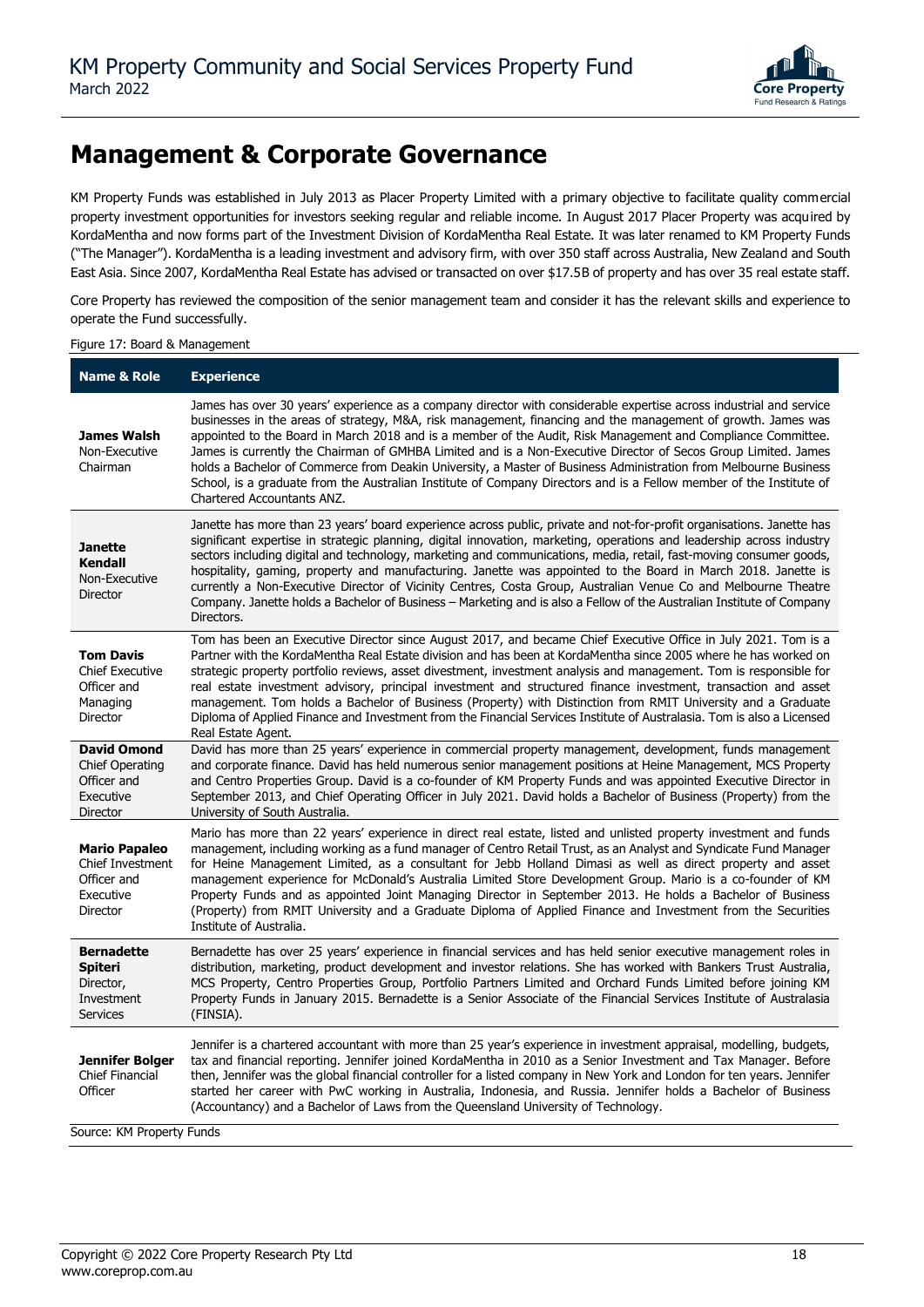

### **Management & Corporate Governance**

KM Property Funds was established in July 2013 as Placer Property Limited with a primary objective to facilitate quality commercial property investment opportunities for investors seeking regular and reliable income. In August 2017 Placer Property was acquired by KordaMentha and now forms part of the Investment Division of KordaMentha Real Estate. It was later renamed to KM Property Funds ("The Manager"). KordaMentha is a leading investment and advisory firm, with over 350 staff across Australia, New Zealand and South East Asia. Since 2007, KordaMentha Real Estate has advised or transacted on over \$17.5B of property and has over 35 real estate staff.

Core Property has reviewed the composition of the senior management team and consider it has the relevant skills and experience to operate the Fund successfully.

#### Figure 17: Board & Management

| <b>Name &amp; Role</b>                                                               | <b>Experience</b>                                                                                                                                                                                                                                                                                                                                                                                                                                                                                                                                                                                                                                                                                                                              |
|--------------------------------------------------------------------------------------|------------------------------------------------------------------------------------------------------------------------------------------------------------------------------------------------------------------------------------------------------------------------------------------------------------------------------------------------------------------------------------------------------------------------------------------------------------------------------------------------------------------------------------------------------------------------------------------------------------------------------------------------------------------------------------------------------------------------------------------------|
| James Walsh<br>Non-Executive<br>Chairman                                             | James has over 30 years' experience as a company director with considerable expertise across industrial and service<br>businesses in the areas of strategy, M&A, risk management, financing and the management of growth. James was<br>appointed to the Board in March 2018 and is a member of the Audit, Risk Management and Compliance Committee.<br>James is currently the Chairman of GMHBA Limited and is a Non-Executive Director of Secos Group Limited. James<br>holds a Bachelor of Commerce from Deakin University, a Master of Business Administration from Melbourne Business<br>School, is a graduate from the Australian Institute of Company Directors and is a Fellow member of the Institute of<br>Chartered Accountants ANZ. |
| Janette<br><b>Kendall</b><br>Non-Executive<br><b>Director</b>                        | Janette has more than 23 years' board experience across public, private and not-for-profit organisations. Janette has<br>significant expertise in strategic planning, digital innovation, marketing, operations and leadership across industry<br>sectors including digital and technology, marketing and communications, media, retail, fast-moving consumer goods,<br>hospitality, gaming, property and manufacturing. Janette was appointed to the Board in March 2018. Janette is<br>currently a Non-Executive Director of Vicinity Centres, Costa Group, Australian Venue Co and Melbourne Theatre<br>Company. Janette holds a Bachelor of Business - Marketing and is also a Fellow of the Australian Institute of Company<br>Directors. |
| <b>Tom Davis</b><br><b>Chief Executive</b><br>Officer and<br>Managing<br>Director    | Tom has been an Executive Director since August 2017, and became Chief Executive Office in July 2021. Tom is a<br>Partner with the KordaMentha Real Estate division and has been at KordaMentha since 2005 where he has worked on<br>strategic property portfolio reviews, asset divestment, investment analysis and management. Tom is responsible for<br>real estate investment advisory, principal investment and structured finance investment, transaction and asset<br>management. Tom holds a Bachelor of Business (Property) with Distinction from RMIT University and a Graduate<br>Diploma of Applied Finance and Investment from the Financial Services Institute of Australasia. Tom is also a Licensed<br>Real Estate Agent.      |
| <b>David Omond</b><br><b>Chief Operating</b><br>Officer and<br>Executive<br>Director | David has more than 25 years' experience in commercial property management, development, funds management<br>and corporate finance. David has held numerous senior management positions at Heine Management, MCS Property<br>and Centro Properties Group. David is a co-founder of KM Property Funds and was appointed Executive Director in<br>September 2013, and Chief Operating Officer in July 2021. David holds a Bachelor of Business (Property) from the<br>University of South Australia.                                                                                                                                                                                                                                             |
| <b>Mario Papaleo</b><br>Chief Investment<br>Officer and<br>Executive<br>Director     | Mario has more than 22 years' experience in direct real estate, listed and unlisted property investment and funds<br>management, including working as a fund manager of Centro Retail Trust, as an Analyst and Syndicate Fund Manager<br>for Heine Management Limited, as a consultant for Jebb Holland Dimasi as well as direct property and asset<br>management experience for McDonald's Australia Limited Store Development Group. Mario is a co-founder of KM<br>Property Funds and as appointed Joint Managing Director in September 2013. He holds a Bachelor of Business<br>(Property) from RMIT University and a Graduate Diploma of Applied Finance and Investment from the Securities<br>Institute of Australia.                    |
| <b>Bernadette</b><br><b>Spiteri</b><br>Director,<br>Investment<br><b>Services</b>    | Bernadette has over 25 years' experience in financial services and has held senior executive management roles in<br>distribution, marketing, product development and investor relations. She has worked with Bankers Trust Australia,<br>MCS Property, Centro Properties Group, Portfolio Partners Limited and Orchard Funds Limited before joining KM<br>Property Funds in January 2015. Bernadette is a Senior Associate of the Financial Services Institute of Australasia<br>(FINSIA).                                                                                                                                                                                                                                                     |
| Jennifer Bolger<br>Chief Financial<br>Officer<br>Source: KM Property Funds           | Jennifer is a chartered accountant with more than 25 year's experience in investment appraisal, modelling, budgets,<br>tax and financial reporting. Jennifer joined KordaMentha in 2010 as a Senior Investment and Tax Manager. Before<br>then, Jennifer was the global financial controller for a listed company in New York and London for ten years. Jennifer<br>started her career with PwC working in Australia, Indonesia, and Russia. Jennifer holds a Bachelor of Business<br>(Accountancy) and a Bachelor of Laws from the Queensland University of Technology.                                                                                                                                                                       |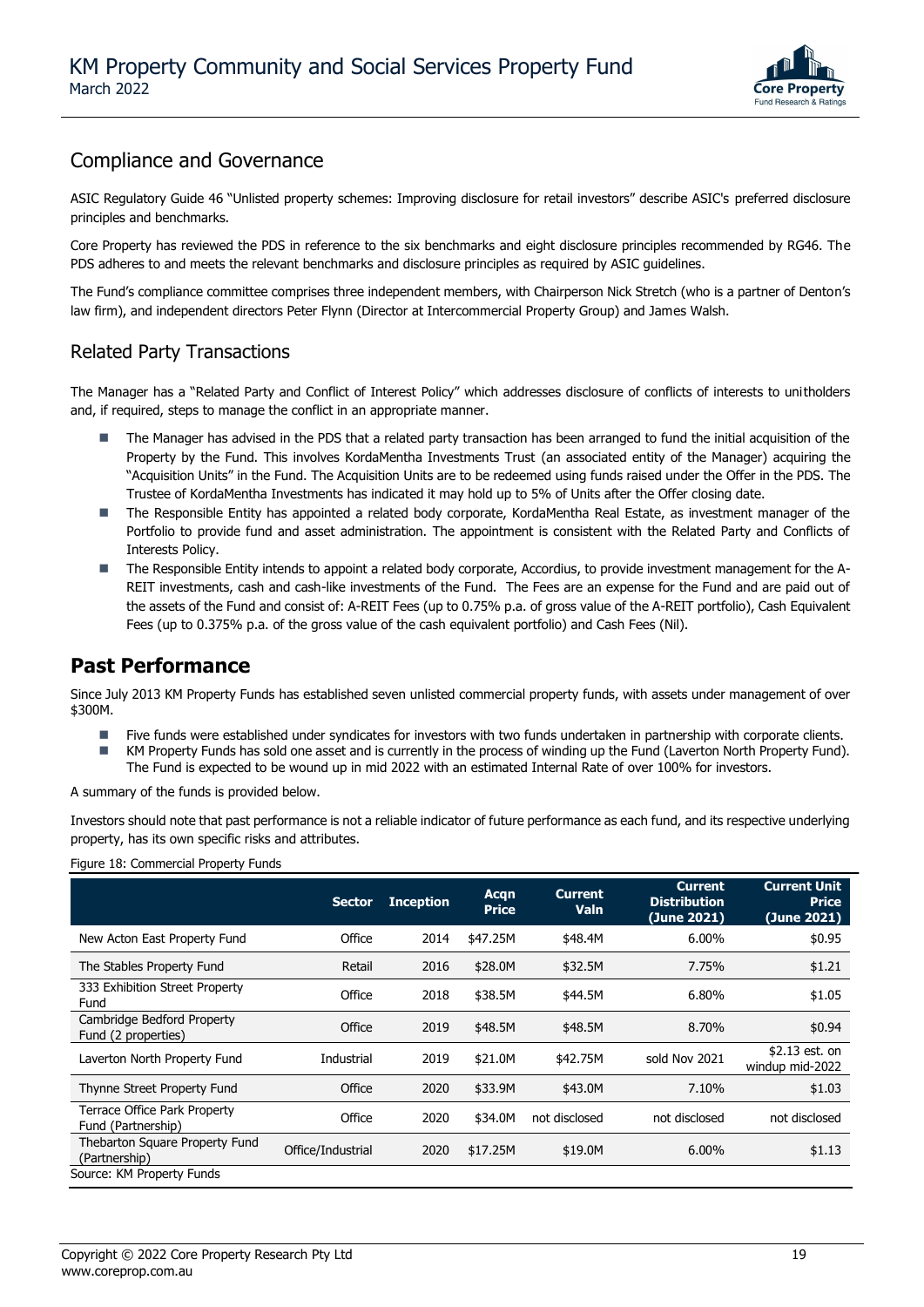

### Compliance and Governance

ASIC Regulatory Guide 46 "Unlisted property schemes: Improving disclosure for retail investors" describe ASIC's preferred disclosure principles and benchmarks.

Core Property has reviewed the PDS in reference to the six benchmarks and eight disclosure principles recommended by RG46. The PDS adheres to and meets the relevant benchmarks and disclosure principles as required by ASIC guidelines.

The Fund's compliance committee comprises three independent members, with Chairperson Nick Stretch (who is a partner of Denton's law firm), and independent directors Peter Flynn (Director at Intercommercial Property Group) and James Walsh.

### Related Party Transactions

The Manager has a "Related Party and Conflict of Interest Policy" which addresses disclosure of conflicts of interests to unitholders and, if required, steps to manage the conflict in an appropriate manner.

- The Manager has advised in the PDS that a related party transaction has been arranged to fund the initial acquisition of the Property by the Fund. This involves KordaMentha Investments Trust (an associated entity of the Manager) acquiring the "Acquisition Units" in the Fund. The Acquisition Units are to be redeemed using funds raised under the Offer in the PDS. The Trustee of KordaMentha Investments has indicated it may hold up to 5% of Units after the Offer closing date.
- The Responsible Entity has appointed a related body corporate, KordaMentha Real Estate, as investment manager of the Portfolio to provide fund and asset administration. The appointment is consistent with the Related Party and Conflicts of Interests Policy.
- The Responsible Entity intends to appoint a related body corporate, Accordius, to provide investment management for the A-REIT investments, cash and cash-like investments of the Fund. The Fees are an expense for the Fund and are paid out of the assets of the Fund and consist of: A-REIT Fees (up to 0.75% p.a. of gross value of the A-REIT portfolio), Cash Equivalent Fees (up to 0.375% p.a. of the gross value of the cash equivalent portfolio) and Cash Fees (Nil).

### **Past Performance**

Since July 2013 KM Property Funds has established seven unlisted commercial property funds, with assets under management of over \$300M.

- Five funds were established under syndicates for investors with two funds undertaken in partnership with corporate clients.
- KM Property Funds has sold one asset and is currently in the process of winding up the Fund (Laverton North Property Fund). The Fund is expected to be wound up in mid 2022 with an estimated Internal Rate of over 100% for investors.

A summary of the funds is provided below.

Investors should note that past performance is not a reliable indicator of future performance as each fund, and its respective underlying property, has its own specific risks and attributes.

Figure 18: Commercial Property Funds

|                                                    | <b>Sector</b>     | <b>Inception</b> | Acgn<br><b>Price</b> | <b>Current</b><br>Valn | <b>Current</b><br><b>Distribution</b><br>(June 2021) | <b>Current Unit</b><br><b>Price</b><br>(June 2021) |
|----------------------------------------------------|-------------------|------------------|----------------------|------------------------|------------------------------------------------------|----------------------------------------------------|
| New Acton East Property Fund                       | Office            | 2014             | \$47.25M             | \$48.4M                | 6.00%                                                | \$0.95                                             |
| The Stables Property Fund                          | Retail            | 2016             | \$28.0M              | \$32.5M                | 7.75%                                                | \$1.21                                             |
| 333 Exhibition Street Property<br>Fund             | Office            | 2018             | \$38.5M              | \$44.5M                | 6.80%                                                | \$1.05                                             |
| Cambridge Bedford Property<br>Fund (2 properties)  | Office            | 2019             | \$48.5M              | \$48.5M                | 8.70%                                                | \$0.94                                             |
| Laverton North Property Fund                       | Industrial        | 2019             | \$21.0M              | \$42.75M               | sold Nov 2021                                        | $$2.13$ est. on<br>windup mid-2022                 |
| Thynne Street Property Fund                        | Office            | 2020             | \$33.9M              | \$43.0M                | 7.10%                                                | \$1.03                                             |
| Terrace Office Park Property<br>Fund (Partnership) | Office            | 2020             | \$34.0M              | not disclosed          | not disclosed                                        | not disclosed                                      |
| Thebarton Square Property Fund<br>(Partnership)    | Office/Industrial | 2020             | \$17.25M             | \$19.0M                | $6.00\%$                                             | \$1.13                                             |
| Source: KM Property Funds                          |                   |                  |                      |                        |                                                      |                                                    |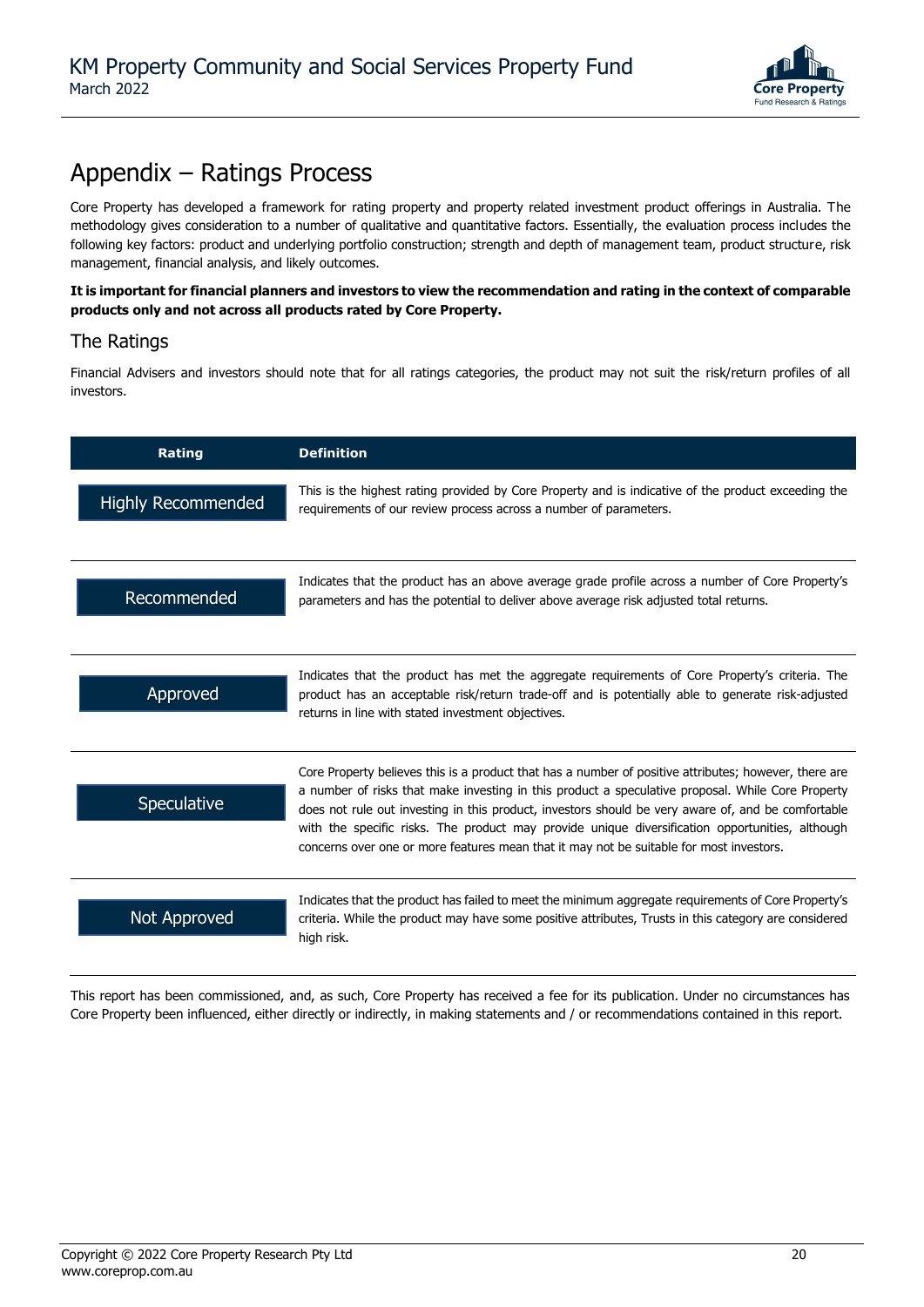

### Appendix – Ratings Process

Core Property has developed a framework for rating property and property related investment product offerings in Australia. The methodology gives consideration to a number of qualitative and quantitative factors. Essentially, the evaluation process includes the following key factors: product and underlying portfolio construction; strength and depth of management team, product structure, risk management, financial analysis, and likely outcomes.

**It is important for financial planners and investors to view the recommendation and rating in the context of comparable products only and not across all products rated by Core Property.**

### The Ratings

Financial Advisers and investors should note that for all ratings categories, the product may not suit the risk/return profiles of all investors.

| <b>Rating</b>             | <b>Definition</b>                                                                                                                                                                                                                                                                                                                                                                                                                                                                                              |
|---------------------------|----------------------------------------------------------------------------------------------------------------------------------------------------------------------------------------------------------------------------------------------------------------------------------------------------------------------------------------------------------------------------------------------------------------------------------------------------------------------------------------------------------------|
| <b>Highly Recommended</b> | This is the highest rating provided by Core Property and is indicative of the product exceeding the<br>requirements of our review process across a number of parameters.                                                                                                                                                                                                                                                                                                                                       |
| Recommended               | Indicates that the product has an above average grade profile across a number of Core Property's<br>parameters and has the potential to deliver above average risk adjusted total returns.                                                                                                                                                                                                                                                                                                                     |
| Approved                  | Indicates that the product has met the aggregate requirements of Core Property's criteria. The<br>product has an acceptable risk/return trade-off and is potentially able to generate risk-adjusted<br>returns in line with stated investment objectives.                                                                                                                                                                                                                                                      |
| Speculative               | Core Property believes this is a product that has a number of positive attributes; however, there are<br>a number of risks that make investing in this product a speculative proposal. While Core Property<br>does not rule out investing in this product, investors should be very aware of, and be comfortable<br>with the specific risks. The product may provide unique diversification opportunities, although<br>concerns over one or more features mean that it may not be suitable for most investors. |
| Not Approved              | Indicates that the product has failed to meet the minimum aggregate requirements of Core Property's<br>criteria. While the product may have some positive attributes, Trusts in this category are considered<br>high risk.                                                                                                                                                                                                                                                                                     |

This report has been commissioned, and, as such, Core Property has received a fee for its publication. Under no circumstances has Core Property been influenced, either directly or indirectly, in making statements and / or recommendations contained in this report.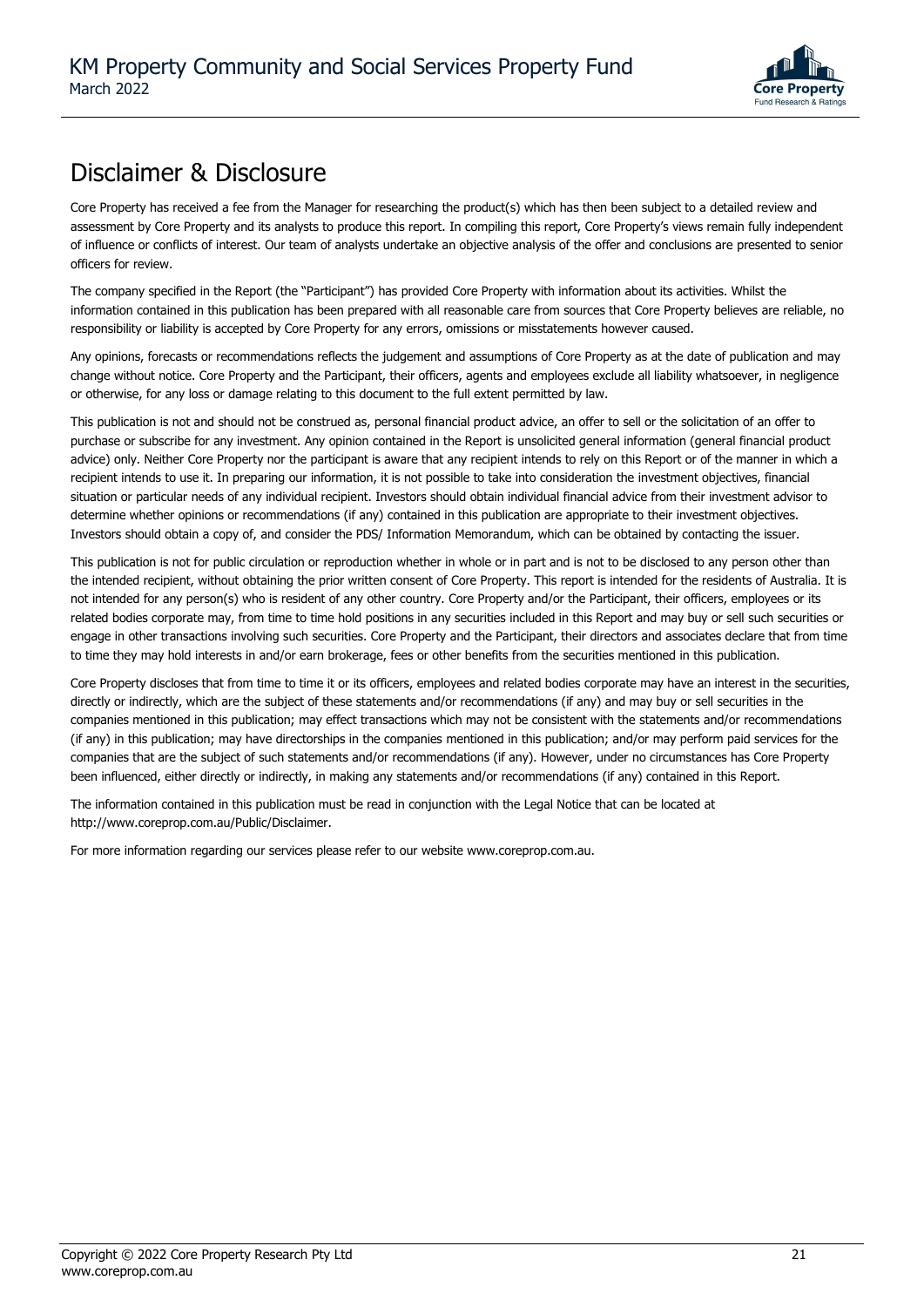

### Disclaimer & Disclosure

Core Property has received a fee from the Manager for researching the product(s) which has then been subject to a detailed review and assessment by Core Property and its analysts to produce this report. In compiling this report, Core Property's views remain fully independent of influence or conflicts of interest. Our team of analysts undertake an objective analysis of the offer and conclusions are presented to senior officers for review.

The company specified in the Report (the "Participant") has provided Core Property with information about its activities. Whilst the information contained in this publication has been prepared with all reasonable care from sources that Core Property believes are reliable, no responsibility or liability is accepted by Core Property for any errors, omissions or misstatements however caused.

Any opinions, forecasts or recommendations reflects the judgement and assumptions of Core Property as at the date of publication and may change without notice. Core Property and the Participant, their officers, agents and employees exclude all liability whatsoever, in negligence or otherwise, for any loss or damage relating to this document to the full extent permitted by law.

This publication is not and should not be construed as, personal financial product advice, an offer to sell or the solicitation of an offer to purchase or subscribe for any investment. Any opinion contained in the Report is unsolicited general information (general financial product advice) only. Neither Core Property nor the participant is aware that any recipient intends to rely on this Report or of the manner in which a recipient intends to use it. In preparing our information, it is not possible to take into consideration the investment objectives, financial situation or particular needs of any individual recipient. Investors should obtain individual financial advice from their investment advisor to determine whether opinions or recommendations (if any) contained in this publication are appropriate to their investment objectives. Investors should obtain a copy of, and consider the PDS/ Information Memorandum, which can be obtained by contacting the issuer.

This publication is not for public circulation or reproduction whether in whole or in part and is not to be disclosed to any person other than the intended recipient, without obtaining the prior written consent of Core Property. This report is intended for the residents of Australia. It is not intended for any person(s) who is resident of any other country. Core Property and/or the Participant, their officers, employees or its related bodies corporate may, from time to time hold positions in any securities included in this Report and may buy or sell such securities or engage in other transactions involving such securities. Core Property and the Participant, their directors and associates declare that from time to time they may hold interests in and/or earn brokerage, fees or other benefits from the securities mentioned in this publication.

Core Property discloses that from time to time it or its officers, employees and related bodies corporate may have an interest in the securities, directly or indirectly, which are the subject of these statements and/or recommendations (if any) and may buy or sell securities in the companies mentioned in this publication; may effect transactions which may not be consistent with the statements and/or recommendations (if any) in this publication; may have directorships in the companies mentioned in this publication; and/or may perform paid services for the companies that are the subject of such statements and/or recommendations (if any). However, under no circumstances has Core Property been influenced, either directly or indirectly, in making any statements and/or recommendations (if any) contained in this Report.

The information contained in this publication must be read in conjunction with the Legal Notice that can be located at http://www.coreprop.com.au/Public/Disclaimer.

For more information regarding our services please refer to our website www.coreprop.com.au.